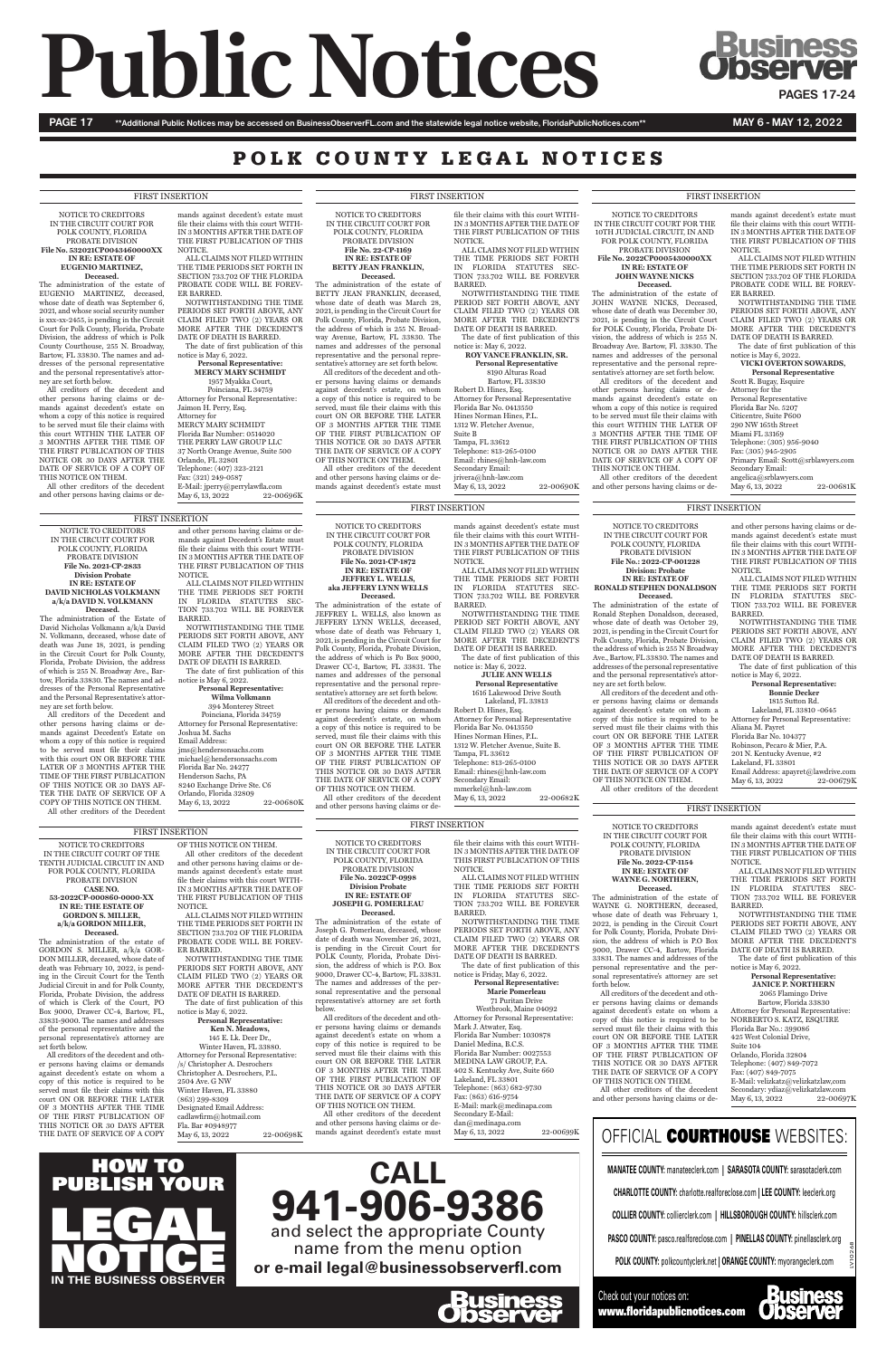# **Public Notices ChicageSING**

PAGE 17 \*\*Additional Public Notices may be accessed on BusinessObserverFL.com and the statewide legal notice website, FloridaPublicNotices.com\*\* MAY 6 - MAY 12, 2022

### POLK COUNTY LEGAL NOTICES

NOTICE TO CREDITORS IN THE CIRCUIT COURT FOR POLK COUNTY, FLORIDA PROBATE DIVISION **File No.: 2022-CP-001228** 

**Division: Probate IN RE: ESTATE OF RONALD STEPHEN DONALDSON Deceased.** The administration of the estate of Ronald Stephen Donaldson, deceased, whose date of death was October 29, 2021, is pending in the Circuit Court for Polk County, Florida, Probate Division, the address of which is 255 N Broadway Ave., Bartow, FL 33830. The names and addresses of the personal representative and the personal representative's attor-

ney are set forth below.

Lakeland, FL 33801 Email Address: apayret@lawdrive.com May 6, 13, 2022 22-00679K

All creditors of the decedent and other persons having claims or demands against decedent's estate on whom a copy of this notice is required to be served must file their claims with this court ON OR BEFORE THE LATER OF 3 MONTHS AFTER THE TIME OF THE FIRST PUBLICATION OF THIS NOTICE OR 30 DAYS AFTER THE DATE OF SERVICE OF A COPY OF THIS NOTICE ON THEM.

All other creditors of the decedent

and other persons having claims or demands against decedent's estate must file their claims with this court WITH-IN 3 MONTHS AFTER THE DATE OF THE FIRST PUBLICATION OF THIS NOTICE.

ALL CLAIMS NOT FILED WITHIN THE TIME PERIODS SET FORTH IN FLORIDA STATUTES SEC-TION 733.702 WILL BE FOREVER BARRED.

All creditors of the Decedent and other persons having claims or demands against Decedent's Estate on whom a copy of this notice is required to be served must file their claims with this court ON OR BEFORE THE LATER OF 3 MONTHS AFTER THE TIME OF THE FIRST PUBLICATION OF THIS NOTICE OR 30 DAYS AF-TER THE DATE OF SERVICE OF A COPY OF THIS NOTICE ON THEM. All other creditors of the Decedent

NOTWITHSTANDING THE TIME PERIODS SET FORTH ABOVE, ANY CLAIM FILED TWO (2) YEARS OR MORE AFTER THE DECEDENT'S DATE OF DEATH IS BARRED. The date of first publication of this

notice is May 6, 2022.

**Personal Representative: Bonnie Decker**

Poinciana, Florida 34759 Attorney for Personal Representative: Joshua M. Sachs Email Address: jms@hendersonsachs.com michael@hendersonsachs.com Florida Bar No. 24277 Henderson Sachs, PA 8240 Exchange Drive Ste. C6 Orlando, Florida 32809 May 6, 13, 2022 22-00680K

1815 Sutton Rd. Lakeland, FL 33810 -0645 Attorney for Personal Representative: Aliana M. Payret Florida Bar No. 104377 Robinson, Pecaro & Mier, P.A. 201 N. Kentucky Avenue, #2

NOTICE TO CREDITORS IN THE CIRCUIT COURT FOR POLK COUNTY, FLORIDA PROBATE DIVISION **File No. 2021-CP-2833 Division Probate IN RE: ESTATE OF DAVID NICHOLAS VOLKMANN a/k/a DAVID N. VOLKMANN Deceased.**

The administration of the Estate of David Nicholas Volkmann a/k/a David N. Volkmann, deceased, whose date of death was June 18, 2021, is pending in the Circuit Court for Polk County, Florida, Probate Division, the address of which is 255 N. Broadway Ave., Bartow, Florida 33830. The names and addresses of the Personal Representative and the Personal Representative's attorney are set forth below.

**Personal Representative** Scott R. Bugay, Esquire Attorney for the Personal Representative Florida Bar No. 5207 Citicentre, Suite P600 290 NW 165th Street Miami FL 33169 Telephone: (305) 956-9040 Fax: (305) 945-2905 Primary Email: Scott@srblawyers.com Secondary Email: angelica@srblawyers.com May 6, 13, 2022 22-00681K

and other persons having claims or demands against Decedent's Estate must file their claims with this court WITH-IN 3 MONTHS AFTER THE DATE OF THE FIRST PUBLICATION OF THIS NOTICE.

ALL CLAIMS NOT FILED WITHIN THE TIME PERIODS SET FORTH IN FLORIDA STATUTES SEC-TION 733.702 WILL BE FOREVER BARRED.

NOTWITHSTANDING THE TIME PERIODS SET FORTH ABOVE, ANY CLAIM FILED TWO (2) YEARS OR MORE AFTER THE DECEDENT'S DATE OF DEATH IS BARRED.

The date of first publication of this notice is May 6, 2022. **Personal Representative: Wilma Volkmann**

### 394 Monterey Street

NOTICE TO CREDITORS IN THE CIRCUIT COURT FOR THE 10TH JUDICIAL CIRCUIT, IN AND FOR POLK COUNTY, FLORIDA

### PROBATE DIVISION **File No. 2022CP0005430000XX IN RE: ESTATE OF JOHN WAYNE NICKS Deceased.**

The administration of the estate of JOHN WAYNE NICKS, Deceased, whose date of death was December 30, 2021, is pending in the Circuit Court for POLK County, Florida, Probate Division, the address of which is 255 N. Broadway Ave. Bartow, Fl. 33830. The names and addresses of the personal representative and the personal representative's attorney are set forth below. All creditors of the decedent and other persons having claims or demands against decedent's estate on whom a copy of this notice is required to be served must file their claims with this court WITHIN THE LATER OF 3 MONTHS AFTER THE TIME OF THE FIRST PUBLICATION OF THIS NOTICE OR 30 DAYS AFTER THE DATE OF SERVICE OF A COPY OF THIS NOTICE ON THEM.

Telephone: 813-265-0100 Email: rhines@hnh-law.com Secondary Email: jrivera@hnh-law.com May 6, 13, 2022 22-00690K

FIRST INSERTION FIRST INSERTION

All other creditors of the decedent and other persons having claims or de-

mands against decedent's estate must file their claims with this court WITH-IN 3 MONTHS AFTER THE DATE OF THE FIRST PUBLICATION OF THIS NOTICE.

ALL CLAIMS NOT FILED WITHIN THE TIME PERIODS SET FORTH IN SECTION 733.702 OF THE FLORIDA PROBATE CODE WILL BE FOREV-ER BARRED.

NOTWITHSTANDING THE TIME PERIODS SET FORTH ABOVE, ANY CLAIM FILED TWO (2) YEARS OR MORE AFTER THE DECEDENT'S DATE OF DEATH IS BARRED.

The date of first publication of this notice is May 6, 2022. **VICKI OVERTON SOWARDS,**

Poinciana, FL 34759 Attorney for Personal Representative: Jaimon H. Perry, Esq. Attorney for MERCY MARY SCHMIDT Florida Bar Number: 0514020 THE PERRY LAW GROUP LLC 37 North Orange Avenue, Suite 500 Orlando, FL 32801 Telephone: (407) 323-2121 Fax: (321) 249-0587 E-Mail: jperry@perrylawfla.com<br>May 6, 13, 2022 22-00696K May 6, 13, 2022

> NOTICE TO CREDITORS IN THE CIRCUIT COURT FOR POLK COUNTY, FLORIDA PROBATE DIVISION **File No. 2021-CP-1872 IN RE: ESTATE OF JEFFREY L. WELLS, aka JEFFERY LYNN WELLS Deceased.** The administration of the estate of JEFFREY L. WELLS, also known as JEFFERY LYNN WELLS, deceased, whose date of death was February 1, 2021, is pending in the Circuit Court for Polk County, Florida, Probate Division, the address of which is Po Box 9000, Drawer CC-1, Bartow, FL 33831. The names and addresses of the personal representative and the personal representative's attorney are set forth below. All creditors of the decedent and other persons having claims or demands against decedent's estate, on whom a copy of this notice is required to be served, must file their claims with this court ON OR BEFORE THE LATER OF 3 MONTHS AFTER THE TIME OF THE FIRST PUBLICATION OF THIS NOTICE OR 30 DAYS AFTER THE DATE OF SERVICE OF A COPY OF THIS NOTICE ON THEM. All other creditors of the decedent and other persons having claims or de-

> > **Personal Representative: JANICE P. NORTHERN** 2065 Flamingo Drive Bartow, Florida 33830 Attorney for Personal Representative: NORBERTO S. KATZ, ESQUIRE Florida Bar No.: 399086 425 West Colonial Drive, Suite 104 Orlando, Florida 32804 Telephone: (407) 849-7072 Fax: (407) 849-7075 E-Mail: velizkatz@velizkatzlaw,com Secondary: ydiaz@velizkatzlaw.com<br>May 6, 13, 2022 22-00697K May 6, 13, 2022

mands against decedent's estate must file their claims with this court WITH-IN 3 MONTHS AFTER THE DATE OF THE FIRST PUBLICATION OF THIS NOTICE.

ALL CLAIMS NOT FILED WITHIN

THE TIME PERIODS SET FORTH IN FLORIDA STATUTES SEC-TION 733.702 WILL BE FOREVER BARRED.

NOTWITHSTANDING THE TIME PERIOD SET FORTH ABOVE, ANY CLAIM FILED TWO (2) YEARS OR MORE AFTER THE DECEDENT'S

DATE OF DEATH IS BARRED.

The date of first publication of this notice is: May 6, 2022.

**JULIE ANN WELLS Personal Representative** 1616 Lakewood Drive South

Lakeland, FL 33813

Robert D. Hines, Esq. Attorney for Personal Representative Florida Bar No. 0413550 Hines Norman Hines, P.L. 1312 W. Fletcher Avenue, Suite B. Tampa, FL 33612 Telephone: 813-265-0100 Email: rhines@hnh-law.com Secondary Email: mmerkel@hnh-law.com

May 6, 13, 2022 22-00682K

The administration of the estate of Joseph G. Pomerleau, deceased, whose date of death was November 26, 2021, is pending in the Circuit Court for POLK County, Florida, Probate Division, the address of which is P.O. Box 9000, Drawer CC-4, Bartow, FL 33831. The names and addresses of the p

NOTICE TO CREDITORS IN THE CIRCUIT COURT FOR POLK COUNTY, FLORIDA PROBATE DIVISION **File No. 22-CP-1169 IN RE: ESTATE OF**

**BETTY JEAN FRANKLIN, Deceased.** The administration of the estate of

BETTY JEAN FRANKLIN, deceased, whose date of death was March 28, 2021, is pending in the Circuit Court for Polk County, Florida, Probate Division, the address of which is 255 N. Broadway Avenue, Bartow, FL 33830. The names and addresses of the personal representative and the personal representative's attorney are set forth below. All creditors of the decedent and other persons having claims or demands against decedent's estate, on whom a copy of this notice is required to be served, must file their claims with this court ON OR BEFORE THE LATER OF 3 MONTHS AFTER THE TIME OF THE FIRST PUBLICATION OF THIS NOTICE OR 30 DAYS AFTER THE DATE OF SERVICE OF A COPY OF THIS NOTICE ON THEM.

> The date of first publication of this notice is Friday, May 6, 2022. **Personal Rep**

All other creditors of the decedent

and other persons having claims or demands against decedent's estate must

file their claims with this court WITH-IN 3 MONTHS AFTER THE DATE OF THE FIRST PUBLICATION OF THIS NOTICE.

ALL CLAIMS NOT FILED WITHIN THE TIME PERIODS SET FORTH IN FLORIDA STATUTES SEC-TION 733.702 WILL BE FOREVER BARRED.

NOTWITHSTANDING THE TIME PERIOD SET FORTH ABOVE, ANY CLAIM FILED TWO (2) YEARS OR MORE AFTER THE DECEDENT'S DATE OF DEATH IS BARRED. The date of first publication of this

notice is: May 6, 2022. **ROY VANCE FRANKLIN, SR. Personal Representative**

Bartow, FL 33830

8190 Alturas Road Robert D. Hines, Esq. Attorney for Personal Representative Florida Bar No. 0413550 Hines Norman Hines, P.L. 1312 W. Fletcher Avenue,

Suite B Tampa, FL 33612

NOTICE TO CREDITORS IN THE CIRCUIT COURT FOR POLK COUNTY, FLORIDA PROBATE DIVISION **File No. 532021CP0043460000XX IN RE: ESTATE OF EUGENIO MARTINEZ, Deceased.**

The administration of the estate of EUGENIO MARTINEZ, deceased, whose date of death was September 6, 2021, and whose social security number is xxx-xx-2455, is pending in the Circuit Court for Polk County, Florida, Probate Division, the address of which is Polk County Courthouse, 255 N. Broadway, Bartow, FL 33830. The names and addresses of the personal representative and the personal representative's attorney are set forth below.

All creditors of the decedent and other persons having claims or demands against decedent's estate on whom a copy of this notice is required to be served must file their claims with this court WITHIN THE LATER OF 3 MONTHS AFTER THE TIME OF THE FIRST PUBLICATION OF THIS NOTICE OR 30 DAYS AFTER THE DATE OF SERVICE OF A COPY OF THIS NOTICE ON THEM.

All other creditors of the decedent and other persons having claims or de-

mands against decedent's estate must file their claims with this court WITH-IN 3 MONTHS AFTER THE DATE OF THE FIRST PUBLICATION OF THIS NOTICE.

ALL CLAIMS NOT FILED WITHIN THE TIME PERIODS SET FORTH IN SECTION 733.702 OF THE FLORIDA PROBATE CODE WILL BE FOREV-ER BARRED.

NOTWITHSTANDING THE TIME PERIODS SET FORTH ABOVE, ANY CLAIM FILED TWO (2) YEARS OR MORE AFTER THE DECEDENT'S DATE OF DEATH IS BARRED.

The date of first publication of this notice is May 6, 2022. **Personal Representative:**

### **MERCY MARY SCHMIDT** 1957 Myakka Court,

NOTICE TO CREDITORS IN THE CIRCUIT COURT FOR POLK COUNTY, FLORIDA

PROBATE DIVISION **File No. 2022-CP-1154 IN RE: ESTATE OF WAYNE G. NORTHERN, Deceased.**

The administration of the estate of WAYNE G. NORTHERN, deceased, whose date of death was February 1, 2022, is pending in the Circuit Court for Polk County, Florida, Probate Division, the address of which is P.O Box 9000, Drawer CC-4, Bartow, Florida 33831. The names and addresses of the personal representative and the personal representative's attorney are set

forth below.

All creditors of the decedent and other persons having claims or demands against decedent's estate on whom a copy of this notice is required to be served must file their claims with this court ON OR BEFORE THE LATER OF 3 MONTHS AFTER THE TIME OF THE FIRST PUBLICATION OF THIS NOTICE OR 30 DAYS AFTER THE DATE OF SERVICE OF A COPY OF THIS NOTICE ON THEM.

All other creditors of the decedent and other persons having claims or de-

mands against decedent's estate must file their claims with this court WITH-IN 3 MONTHS AFTER THE DATE OF THE FIRST PUBLICATION OF THIS NOTICE.

ALL CLAIMS NOT FILED WITHIN THE TIME PERIODS SET FORTH IN FLORIDA STATUTES SEC-TION 733.702 WILL BE FOREVER BARRED.

NOTWITHSTANDING THE TIME

PERIODS SET FORTH ABOVE, ANY CLAIM FILED TWO (2) YEARS OR MORE AFTER THE DECEDENT'S DATE OF DEATH IS BARRED.

The date of first publication of this notice is May 6, 2022.

**Deceased.**

The administration of the estate of GORDON S. MILLER, a/k/a GOR-DON MILLER, deceased, whose date of death was February 10, 2022, is pending in the Circuit Court for the Tenth

Judicial Circuit in and for Polk County, Florida, Probate Division, the address of which is Clerk of the Court, PO Box 9000, Drawer CC-4, Bartow, FL, 33831-9000. The names and addresses of the personal representative and the personal representative's attorney are set forth below.

All creditors of the decedent and other persons having claims or demands against decedent's estate on whom a copy of this notice is required to be served must file their claims with this court ON OR BEFORE THE LATER OF 3 MONTHS AFTER THE TIME OF THE FIRST PUBLICATION OF THIS NOTICE OR 30 DAYS AFTER THE DATE OF SERVICE OF A COPY

OF THIS NOTICE ON THEM. All other creditors of the decedent and other persons having claims or demands against decedent's estate must file their claims with this court WITH-IN 3 MONTHS AFTER THE DATE OF THE FIRST PUBLICATION OF THIS

NOTICE.

ALL CLAIMS NOT FILED WITHIN THE TIME PERIODS SET FORTH IN SECTION 733.702 OF THE FLORIDA PROBATE CODE WILL BE FOREV-

ER BARRED.

NOTWITHSTANDING THE TIME PERIODS SET FORTH ABOVE, ANY CLAIM FILED TWO (2) YEARS OR MORE AFTER THE DECEDENT'S

DATE OF DEATH IS BARRED. The date of first publication of this notice is May 6, 2022. **Personal Representative: Ken N. Meadows,**  145 E. Lk. Deer Dr., Winter Haven, FL 33880. Attorney for Personal Representative: /s/ Christopher A. Desrochers Christopher A. Desrochers, P.L. 2504 Ave. G NW Winter Haven, FL 33880 (863) 299-8309 Designated Email Address: cadlawfirm@hotmail.com Fla. Bar #0948977

May 6, 13, 2022 22-00698K

NOTICE TO CREDITORS IN THE CIRCUIT COURT OF THE TENTH JUDICIAL CIRCUIT IN AND FOR POLK COUNTY, FLORIDA PROBATE DIVISION **CASE NO. 53-2022CP-000860-0000-XX IN RE: THE ESTATE OF GORDON S. MILLER, a/k/a GORDON MILLER,** FIRST INSERTION

NOTICE TO CREDITORS IN THE CIRCUIT COURT FOR POLK COUNTY, FLORIDA PROBATE DIVISION **File No. 2022CP-0998 Division Probate IN RE: ESTATE OF JOSEPH G. POMERLEAU**

**Deceased.**

sonal representative and the personal representative's attorney are set forth below.

All creditors of the decedent and other persons having claims or demands against decedent's estate on whom a copy of this notice is required to be served must file their claims with this court ON OR BEFORE THE LATER OF 3 MONTHS AFTER THE TIME OF THE FIRST PUBLICATION OF THIS NOTICE OR 30 DAYS AFTER THE DATE OF SERVICE OF A COPY OF THIS NOTICE ON THEM.

All other creditors of the decedent and other persons having claims or demands against decedent's estate must file their claims with this court WITH-IN 3 MONTHS AFTER THE DATE OF THIS FIRST PUBLICATION OF THIS NOTICE.

ALL CLAIMS NOT FILED WITHIN THE TIME PERIODS SET FORTH IN FLORIDA STATUTES SEC-TION 733.702 WILL BE FOREVER

BARRED. NOTWITHSTANDING THE TIME PERIODS SET FORTH ABOVE, ANY CLAIM FILED TWO (2) YEARS OR MORE AFTER THE DECEDENT'S DATE OF DEATH IS BARRED.

**Marie Pomerleau**

71 Puritan Drive Westbrook, Maine 04092 Attorney for Personal Representative: Mark J. Atwater, Esq. Florida Bar Number: 1030878 Daniel Medina, B.C.S. Florida Bar Number: 0027553 MEDINA LAW GROUP, P.A. 402 S. Kentucky Ave, Suite 660 Lakeland, FL 33801 Telephone: (863) 682-9730 Fax: (863) 616-9754 E-Mail: mark@medinapa.com Secondary E-Mail: dan@medinapa.com

May 6, 13, 2022 22-00699K

### FIRST INSERTION FIRST INSERTION FIRST INSERTION

### FIRST INSERTION

FIRST INSERTION

FIRST INSERTION

**CALL 941-906-9386**  and select the appropriate County name from the menu option

**or e-mail legal@businessobserverfl.com**



LV10268

10W TO<br>LISH YOUR PUBLISH LEGAL IN OTICE

**MANATEE COUNTY:** manateeclerk.com **| SARASOTA COUNTY:** sarasotaclerk.com

**CHARLOTTE COUNTY:** charlotte.realforeclose.com **| LEE COUNTY:** leeclerk.org

**COLLIER COUNTY:** collierclerk.com **| HILLSBOROUGH COUNTY:** hillsclerk.com

**PASCO COUNTY:** pasco.realforeclose.com **| PINELLAS COUNTY:** pinellasclerk.org

**POLK COUNTY:** polkcountyclerk.net **| ORANGE COUNTY:** myorangeclerk.com

### OFFICIAL COURTHOUSE WEBSITES:

Check out your notices on: www.floridapublicnotices.com

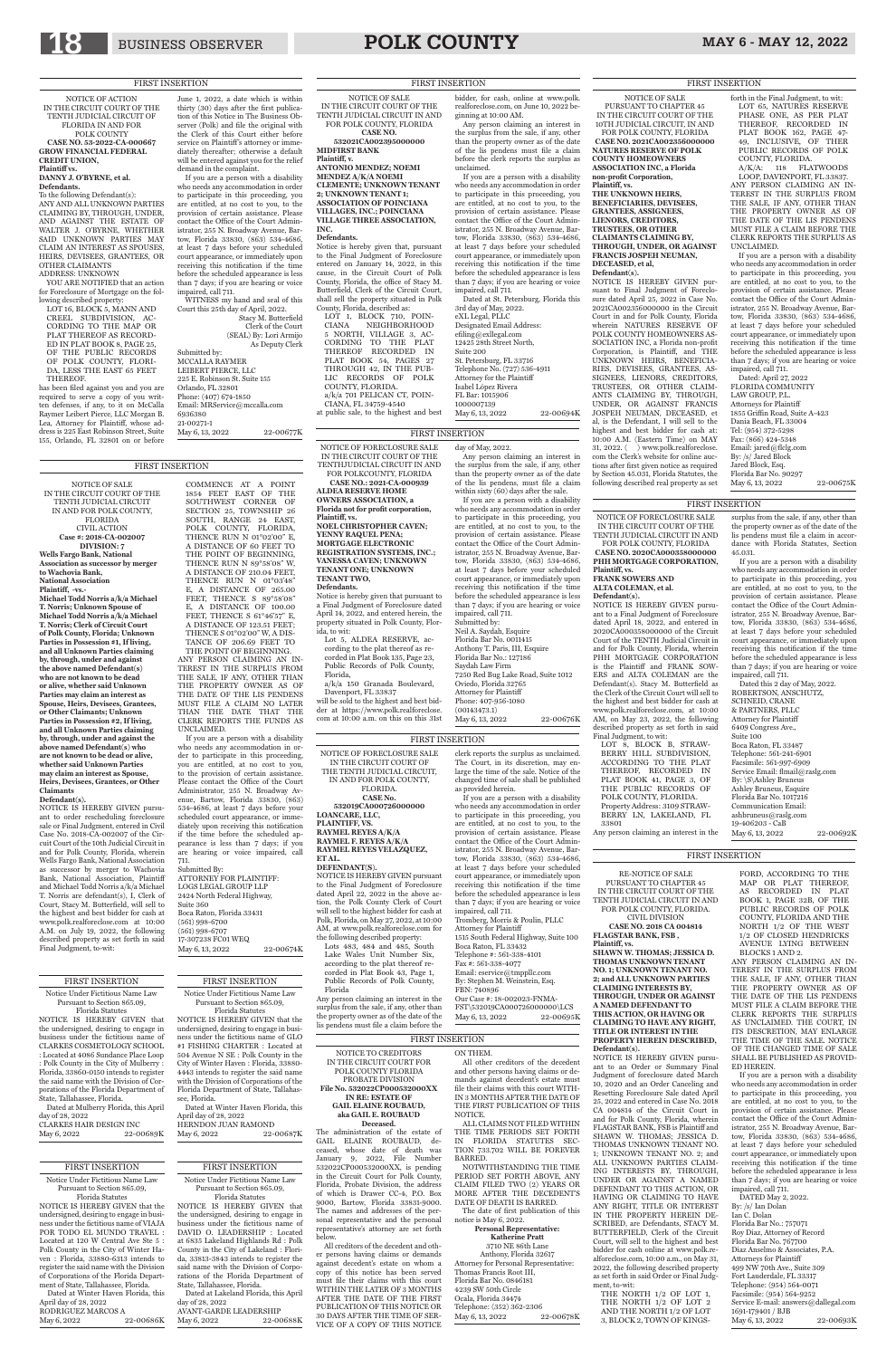## 18 BUSINESS OBSERVER **POLK COUNTY** MAY 6 - MAY 12, 2022

NOTICE OF ACTION IN THE CIRCUIT COURT OF THE TENTH JUDICIAL CIRCUIT OF FLORIDA IN AND FOR POLK COUNTY **CASE NO. 53-2022-CA-000667 GROW FINANCIAL FEDERAL CREDIT UNION, Plaintiff vs.** 

### **DANNY J. O'BYRNE, et al.**

**Defendants.** To the following Defendant(s): ANY AND ALL UNKNOWN PARTIES CLAIMING BY, THROUGH, UNDER, AND AGAINST THE ESTATE OF WALTER J. O'BYRNE, WHETHER SAID UNKNOWN PARTIES MAY CLAIM AN INTEREST AS SPOUSES, HEIRS, DEVISEES, GRANTEES, OR OTHER CLAIMANTS

ADDRESS: UNKNOWN

YOU ARE NOTIFIED that an action for Foreclosure of Mortgage on the fol-

lowing described property: LOT 16, BLOCK 5, MANN AND CREEL SUBDIVISION, AC-CORDING TO THE MAP OR PLAT THEREOF AS RECORD-ED IN PLAT BOOK 8, PAGE 25, OF THE PUBLIC RECORDS OF POLK COUNTY, FLORI-DA, LESS THE EAST 65 FEET THEREOF.

has been filed against you and you are required to serve a copy of you written defenses, if any, to it on McCalla Raymer Leibert Pierce, LLC Morgan B. Lea, Attorney for Plaintiff, whose address is 225 East Robinson Street, Suite 155, Orlando, FL 32801 on or before

who needs any accommodation in order to participate in this proceeding, you are entitled, at no cost to you, to the provision of certain assistance. Please contact the Office of the Court Administrator, 255 N. Broadway Avenue, Bartow, Florida 33830, (863) 534-4686, at least 7 days before your scheduled court appearance, or immediately upon receiving this notification if the time before the scheduled appearance is less than 7 days; if you are hearing or voice impaired, call 711.

Dated at Winter Haven Florida, this April day of 28, 2022 RODRIGUEZ MARCOS A<br>May 6, 2022 22-00686K May 6, 2022

Dated at Winter Haven Florida, this April day of 28, 2022 HERNDON JUAN RAMOND May 6, 2022 22-00687K

Dated at Lakeland Florida, this April day of 28, 2022 AVANT-GARDE LEADERSHIP<br>May 6, 2022 22-00688K May 6, 2022

WITNESS my hand and seal of this Court this 25th day of April, 2022. Stacy M. Butterfield Clerk of the Court (SEAL) By: Lori Armijo As Deputy Clerk Submitted by: MCCALLA RAYMER LEIBERT PIERCE, LLC 225 E. Robinson St. Suite 155 Orlando, FL 32801 Phone: (407) 674-1850 Email: MRService@mccalla.com 6936380 21-00271-1

May 6, 13, 2022 22-00677K

Dated at Mulberry Florida, this April day of 28, 2022 CLARKES HAIR DESIGN INC May 6, 2022 22-00689K

### FIRST INSERTION

### FIRST INSERTION

Notice Under Fictitious Name Law Pursuant to Section 865.09, Florida Statutes

NOTICE IS HEREBY GIVEN that the undersigned, desiring to engage in business under the fictitious name of VIAJA POR TODO EL MUNDO TRAVEL : Located at 120 W Central Ave Ste 5 : Polk County in the City of Winter Haven : Florida, 33880-6313 intends to register the said name with the Division of Corporations of the Florida Department of State, Tallahassee, Florida.

### FIRST INSERTION Notice Under Fictitious Name Law Pursuant to Section 865.09, Florida Statutes

NOTICE IS HEREBY GIVEN pursuant to order rescheduling foreclosure sale or Final Judgment, entered in Civil Case No. 2018-CA-002007 of the Circuit Court of the 10th Judicial Circuit in and for Polk County, Florida, wherein Wells Fargo Bank, National Association as successor by merger to Wachovia Bank, National Association, Plaintiff and Michael Todd Norris a/k/a Michael T. Norris are defendant(s), I, Clerk of Court, Stacy M. Butterfield, will sell to the highest and best bidder for cash at www.polk.realforeclose.com at 10:00 A.M. on July 19, 2022, the following described property as set forth in said Final Judgment, to-wit:

> NOTICE IS HEREBY GIVEN that the undersigned, desiring to engage in business under the fictitious name of GLO #1 FISHING CHARTER : Located at 504 Avenue N SE : Polk County in the City of Winter Haven : Florida, 33880- 4443 intends to register the said name with the Division of Corporations of the Florida Department of State, Tallahassee, Florida.

### FIRST INSERTION

Notice Under Fictitious Name Law Pursuant to Section 865.09, Florida Statutes NOTICE IS HEREBY GIVEN that the undersigned, desiring to engage in

### Submitted By: ATTORNEY FOR PLAINTIFF. LOGS LEGAL GROUP LLP 2424 North Federal Highway, Suite 360 Boca Raton, Florida 33431 (561) 998-6700 (561) 998-6707 17-307238 FC01 WEQ  $\frac{1}{22}$  May 6, 13, 2022 22-00674K

business under the fictitious name of DAVID O. LEADERSHIP : Located at 6835 Lakeland Highlands Rd : Polk County in the City of Lakeland : Florida, 33813-3843 intends to register the said name with the Division of Corporations of the Florida Department of State, Tallahassee, Florida.

Notice Under Fictitious Name Law Pursuant to Section 865.09,

Florida Statutes NOTICE IS HEREBY GIVEN that the undersigned, desiring to engage in business under the fictitious name of CLARKES COSMETOLOGY SCHOOL : Located at 4086 Sundance Place Loop : Polk County in the City of Mulberry : Florida, 33860-0150 intends to register the said name with the Division of Corporations of the Florida Department of State, Tallahassee, Florida.

Dated: April 27, 2022 FLORIDA COMMUNITY LAW GROUP, P.L. Attorneys for Plaintiff 1855 Griffin Road, Suite A-423 Dania Beach, FL 33004 Tel: (954) 372-5298 Fax: (866) 424-5348 Email: jared@flclg.com By: /s/ Jared Block Jared Block, Esq. Florida Bar No. 90297 May 6, 13, 2022 22-00675K

NOTICE OF SALE IN THE CIRCUIT COURT OF THE TENTH JUDICIAL CIRCUIT IN AND FOR POLK COUNTY, FLORIDA CIVIL ACTION **Case #: 2018-CA-002007 DIVISION: 7 Wells Fargo Bank, National Association as successor by merger to Wachovia Bank, National Association Plaintiff, -vs.- Michael Todd Norris a/k/a Michael T. Norris; Unknown Spouse of Michael Todd Norris a/k/a Michael T. Norris; Clerk of Circuit Court of Polk County, Florida; Unknown Parties in Possession #1, If living, and all Unknown Parties claiming by, through, under and against the above named Defendant(s) who are not known to be dead or alive, whether said Unknown Parties may claim an interest as Spouse, Heirs, Devisees, Grantees, or Other Claimants; Unknown Parties in Possession #2, If living, and all Unknown Parties claiming by, through, under and against the above named Defendant(s) who are not known to be dead or alive, whether said Unknown Parties may claim an interest as Spouse, Heirs, Devisees, Grantees, or Other Claimants Defendant(s).**

Attorney for Plaintiff Phone: 407-956-1080 (00143473.1) May 6, 13, 2022 22-00676K

COMMENCE AT A POINT 1854 FEET EAST OF THE SOUTHWEST CORNER OF SECTION 25, TOWNSHIP 26 SOUTH, RANGE 24 EAST, POLK COUNTY, FLORIDA, THENCE RUN N 01°02'00" E, A DISTANCE OF 60 FEET TO THE POINT OF BEGINNING, THENCE RUN N 89°58'08" W, A DISTANCE OF 210.04 FEET, THENCE RUN N 01°03'48" E, A DISTANCE OF 265.00 FEET, THENCE S 89°58'08" E, A DISTANCE OF 100.00 FEET, THENCE S 61°46'57" E, A DISTANCE OF 123.51 FEET; THENCE S 01°02'00" W, A DIS-TANCE OF 206.69 FEET TO THE POINT OF BEGINNING. ANY PERSON CLAIMING AN IN-TEREST IN THE SURPLUS FROM THE SALE, IF ANY, OTHER THAN THE PROPERTY OWNER AS OF THE DATE OF THE LIS PENDENS MUST FILE A CLAIM NO LATER THAN THE DATE THAT THE CLERK REPORTS THE FUNDS AS UNCLAIMED. If you are a person with a disability

Dated this 2 day of May, 2022. ROBERTSON, ANSCHUTZ, SCHNEID, CRANE & PARTNERS, PLLC Attorney for Plaintiff 6409 Congress Ave., Suite 100 Boca Raton, FL 33487 Telephone: 561-241-6901 Facsimile: 561-997-6909 Service Email: flmail@raslg.com By: \S\Ashley Bruneus Ashley Bruneus, Esquire Florida Bar No. 1017216 Communication Email: ashbruneus@raslg.com 19-406203 - CaB May 6, 13, 2022 22-00692K

who needs any accommodation in order to participate in this proceeding, you are entitled, at no cost to you, to the provision of certain assistance. Please contact the Office of the Court Administrator, 255 N. Broadway Avenue, Bartow, Florida 33830, (863) 534-4686, at least 7 days before your scheduled court appearance, or immediately upon receiving this notification if the time before the scheduled appearance is less than 7 days; if you are hearing or voice impaired, call 711.

NOTICE OF SALE

PURSUANT TO CHAPTER 45 IN THE CIRCUIT COURT OF THE 10TH JUDICIAL CIRCUIT, IN AND FOR POLK COUNTY, FLORIDA

**CASE NO. 2021CA002356000000 NATURES RESERVE OF POLK COUNTY HOMEOWNERS ASSOCIATION INC, a Florida non-profit Corporation, Plaintiff, vs.**

**THE UNKNOWN HEIRS, BENEFICIARIES, DEVISEES, GRANTEES, ASSIGNEES, LIENORS, CREDITORS, TRUSTEES, OR OTHER CLAIMANTS CLAIMING BY, THROUGH, UNDER, OR AGAINST FRANCIS JOSPEH NEUMAN, DECEASED, et al, Defendant(s).**

> DATED May 2, 2022. By: /s/ Ian Dolan Ian C. Dolan Florida Bar No.: 757071 Roy Diaz, Attorney of Record Florida Bar No. 767700 Diaz Anselmo & Associates, P.A. Attorneys for Plaintiff 499 NW 70th Ave., Suite 309 Fort Lauderdale, FL 33317 Telephone: (954) 564-0071 Facsimile: (954) 564-9252 Service E-mail: answers@dallegal.com 1691-179401 / BJB May 6, 13, 2022 22-00693K

NOTICE IS HEREBY GIVEN pursuant to Final Judgment of Foreclosure dated April 25, 2022 in Case No. 2021CA002356000000 in the Circuit Court in and for Polk County, Florida wherein NATURES RESERVE OF POLK COUNTY HOMEOWNERS AS-SOCIATION INC, a Florida non-profit Corporation, is Plaintiff, and THE UNKNOWN HEIRS, BENEFICIA-RIES, DEVISEES, GRANTEES, AS-SIGNEES, LIENORS, CREDITORS, TRUSTEES, OR OTHER CLAIM-ANTS CLAIMING BY, THROUGH, UNDER, OR AGAINST FRANCIS JOSPEH NEUMAN, DECEASED, et al, is the Defendant, I will sell to the highest and best bidder for cash at: 10:00 A.M. (Eastern Time) on MAY 31, 2022. ( ) www.polk.realforeclose. com the Clerk's website for online auctions after first given notice as required by Section 45.031, Florida Statutes, the following described real property as set forth in the Final Judgment, to wit: LOT 65, NATURES RESERVE PHASE ONE, AS PER PLAT THEREOF, RECORDED IN PLAT BOOK 162, PAGE 47- 49, INCLUSIVE, OF THER PUBLIC RECORDS OF POLK COUNTY, FLORIDA.

A/K/A: 118 FLATWOODS LOOP, DAVENPORT, FL 33837. ANY PERSON CLAIMING AN IN-TEREST IN THE SURPLUS FROM THE SALE, IF ANY, OTHER THAN THE PROPERTY OWNER AS OF THE DATE OF THE LIS PENDENS MUST FILE A CLAIM BEFORE THE CLERK REPORTS THE SURPLUS AS UNCLAIMED.

12425 28th Street North, Suite 200 St. Petersburg, FL 33716 Telephone No. (727) 536-4911 Attorney for the Plaintiff Isabel López Rivera FL Bar: 1015906 1000007139 May 6, 13, 2022 22-00694K

If you are a person with a disability who needs any accommodation in order to participate in this proceeding, you are entitled, at no cost to you, to the provision of certain assistance. Please contact the Office of the Court Administrator, 255 N. Broadway Avenue, Bartow, Florida 33830, (863) 534-4686, at least 7 days before your scheduled court appearance, or immediately upon receiving this notification if the time before the scheduled appearance is less than 7 days; if you are hearing or voice impaired, call 711.

tion, the Polk County Clerk of Court will sell to the highest bidder for cash at Polk, Florida, on May 27, 2022, at 10:00 AM, at www.polk.realforeclose.com for the following described property: Lots 483, 484 and 485, South

Lake Wales Unit Number Six, according to the plat thereof recorded in Plat Book 43, Page 1, Public Records of Polk County

NOTICE OF FORECLOSURE SALE IN THE CIRCUIT COURT OF THE TENTHJUDICIAL CIRCUIT IN AND FOR POLKCOUNTY, FLORIDA

**CASE NO.: 2021-CA-000939 ALDEA RESERVE HOME OWNERS ASSOCIATION, a Florida not for profit corporation, Plaintiff, vs. NOEL CHRISTOPHER CAVEN;** 

**YENNY RAQUEL PENA; MORTGAGE ELECTRONIC REGISTRATION SYSTEMS, INC.; VANESSA CAVEN; UNKNOWN TENANT ONE; UNKNOWN TENANT TWO, Defendants.**

> FBN: 740896 Our Case #: 18-002023-FNMA-FST\532019CA000726000000\LCS May 6, 13, 2022 22-00695K

Notice is hereby given that pursuant to a Final Judgment of Foreclosure dated April 14, 2022, and entered herein, the property situated in Polk County, Florida, to wit:

Lot 5, ALDEA RESERVE, according to the plat thereof as recorded in Plat Book 135, Page 23, Public Records of Polk County, Florida, a/k/a 150 Granada Boulevard,

Davenport, FL 33837

will be sold to the highest and best bidder at https://www.polk.realforeclose. com at 10:00 a.m. on this on this 31st day of May, 2022. Any person claiming an interest in

the surplus from the sale, if any, other provision of certain assistance. Please

than the property owner as of the date of the lis pendens, must file a claim within sixty (60) days after the sale. If you are a person with a disability who needs any accommodation in order to participate in this proceeding, you are entitled, at no cost to you, to the

3710 NE 86th Lane Anthony, Florida 32617 Attorney for Personal Representative: Thomas Francis Root III, Florida Bar No. 0846181 4239 SW 50th Circle Ocala, Florida 34474 Telephone: (352) 362-2306 May 6, 13, 2022 22-00678K

contact the Office of the Court Administrator, 255 N. Broadway Avenue, Bartow, Florida 33830, (863) 534-4686, at least 7 days before your scheduled court appearance, or immediately upon receiving this notification if the time before the scheduled appearance is less than 7 days; if you are hearing or voice impaired, call 711. Submitted by: Neil A. Saydah, Esquire Florida Bar No. 0011415 Anthony T. Paris, III, Esquire Florida Bar No.: 127186 Saydah Law Firm 7250 Red Bug Lake Road, Suite 1012 Oviedo, Florida 32765

NOTICE OF FORECLOSURE SALE IN THE CIRCUIT COURT OF THE TENTH JUDICIAL CIRCUIT IN AND FOR POLK COUNTY, FLORIDA

**CASE NO. 2020CA000358000000**

### **PHH MORTGAGE CORPORATION, Plaintiff, vs. FRANK SOWERS AND ALTA COLEMAN, et al.**

**Defendant(s).** NOTICE IS HEREBY GIVEN pursuant to a Final Judgment of Foreclosure dated April 18, 2022, and entered in 2020CA000358000000 of the Circuit Court of the TENTH Judicial Circuit in and for Polk County, Florida, wherein PHH MORTGAGE CORPORATION is the Plaintiff and FRANK SOW-

ERS and ALTA COLEMAN are the Defendant(s). Stacy M. Butterfield as the Clerk of the Circuit Court will sell to the highest and best bidder for cash at www.polk.realforeclose.com, at 10:00 AM, on May 23, 2022, the following described property as set forth in said

Final Judgment, to wit: LOT 8, BLOCK B, STRAW-BERRY HILL SUBDIVISION, ACCORDING TO THE PLAT THEREOF, RECORDED IN PLAT BOOK 41, PAGE 3, OF THE PUBLIC RECORDS OF POLK COUNTY, FLORIDA. Property Address: 3109 STRAW-BERRY LN, LAKELAND, FL 33801

Any person claiming an interest in the

surplus from the sale, if any, other than

the property owner as of the date of the lis pendens must file a claim in accordance with Florida Statutes, Section 45.031. If you are a person with a disability

who needs any accommodation in order to participate in this proceeding, you are entitled, at no cost to you, to the provision of certain assistance. Please contact the Office of the Court Administrator, 255 N. Broadway Avenue, Bartow, Florida 33830, (863) 534-4686, at least 7 days before your scheduled court appearance, or immediately upon receiving this notification if the time before the scheduled appearance is less than 7 days; if you are hearing or voice impaired, call 711.

### RE-NOTICE OF SALE PURSUANT TO CHAPTER 45 IN THE CIRCUIT COURT OF THE TENTH JUDICIAL CIRCUIT IN AND FOR POLK COUNTY, FLORIDA. CIVIL DIVISION **CASE NO. 2018 CA 004814 FLAGSTAR BANK, FSB ,**

**Plaintiff, vs. SHAWN W. THOMAS; JESSICA D. THOMAS UNKNOWN TENANT NO. 1; UNKNOWN TENANT NO. 2; and ALL UNKNOWN PARTIES** 

### **CLAIMING INTERESTS BY, THROUGH, UNDER OR AGAINST A NAMED DEFENDANT TO THIS ACTION, OR HAVING OR CLAIMING TO HAVE ANY RIGHT, TITLE OR INTEREST IN THE PROPERTY HEREIN DESCRIBED, Defendant(s).** NOTICE IS HEREBY GIVEN pursu-

ant to an Order or Summary Final Judgment of foreclosure dated March 10, 2020 and an Order Canceling and Resetting Foreclosure Sale dated April 25, 2022 and entered in Case No. 2018 CA 004814 of the Circuit Court in and for Polk County, Florida, wherein FLAGSTAR BANK, FSB is Plaintiff and SHAWN W. THOMAS; JESSICA D. THOMAS UNKNOWN TENANT NO. 1; UNKNOWN TENANT NO. 2; and ALL UNKNOWN PARTIES CLAIM-ING INTERESTS BY, THROUGH, UNDER OR AGAINST A NAMED DEFENDANT TO THIS ACTION, OR HAVING OR CLAIMING TO HAVE ANY RIGHT, TITLE OR INTEREST IN THE PROPERTY HEREIN DE-SCRIBED, are Defendants, STACY M. BUTTERFIELD, Clerk of the Circuit Court, will sell to the highest and best bidder for cash online at www.polk.realforeclose.com, 10:00 a.m., on May 31, 2022, the following described property as set forth in said Order or Final Judgment, to-wit: THE NORTH 1/2 OF LOT 1,

THE NORTH 1/2 OF LOT 2 AND THE NORTH 1/2 OF LOT 3, BLOCK 2, TOWN OF KINGS-

FORD, ACCORDING TO THE MAP OR PLAT THEREOF, AS RECORDED IN PLAT BOOK 1, PAGE 32B, OF THE PUBLIC RECORDS OF POLK COUNTY, FLORIDA AND THE NORTH 1/2 OF THE WEST 1/2 OF CLOSED HENDRICKS AVENUE LYING BETWEEN BLOCKS 1 AND 2.

ANY PERSON CLAIMING AN IN-TEREST IN THE SURPLUS FROM THE SALE, IF ANY, OTHER THAN

THE PROPERTY OWNER AS OF THE DATE OF THE LIS PENDENS MUST FILE A CLAIM BEFORE THE CLERK REPORTS THE SURPLUS AS UNCLAIMED. THE COURT, IN ITS DESCRETION, MAY ENLARGE THE TIME OF THE SALE. NOTICE OF THE CHANGED TIME OF SALE SHALL BE PUBLISHED AS PROVID-ED HEREIN.

If you are a person with a disability who needs any accommodation in order to participate in this proceeding, you are entitled, at no cost to you, to the provision of certain assistance. Please contact the Office of the Court Administrator, 255 N. Broadway Avenue, Bartow, Florida 33830, (863) 534-4686, at least 7 days before your scheduled court appearance, or immediately upon receiving this notification if the time before the scheduled appearance is less than 7 days; if you are hearing or voice impaired, call 711.

NOTICE OF SALE IN THE CIRCUIT COURT OF THE TENTH JUDICIAL CIRCUIT IN AND FOR POLK COUNTY, FLORIDA **CASE NO.** 

**532021CA002395000000**

**MIDFIRST BANK Plaintiff, v.**

**ANTONIO MENDEZ; NOEMI MENDEZ A/K/A NOEMI CLEMENTE; UNKNOWN TENANT 2; UNKNOWN TENANT 1; ASSOCIATION OF POINCIANA VILLAGES, INC.; POINCIANA VILLAGE THREE ASSOCIATION, INC.**

### **Defendants.**

Notice is hereby given that, pursuant to the Final Judgment of Foreclosure entered on January 14, 2022, in this cause, in the Circuit Court of Polk County, Florida, the office of Stacy M. Butterfield, Clerk of the Circuit Court, shall sell the property situated in Polk County, Florida, described as: LOT 1, BLOCK 710, POIN-

CIANA NEIGHBORHOOD 5 NORTH, VILLAGE 3, AC-CORDING TO THE PLAT THEREOF RECORDED IN PLAT BOOK 54, PAGES 27 THROUGH 42, IN THE PUB-LIC RECORDS OF POLK COUNTY, FLORIDA. a/k/a 701 PELICAN CT, POIN-CIANA, FL 34759-4540 at public sale, to the highest and best

bidder, for cash, online at www.polk. realforeclose.com, on June 10, 2022 beginning at 10:00 AM.

Any person claiming an interest in the surplus from the sale, if any, other than the property owner as of the date of the lis pendens must file a claim before the clerk reports the surplus as unclaimed.

If you are a person with a disability who needs any accommodation in order to participate in this proceeding, you are entitled, at no cost to you, to the provision of certain assistance. Please contact the Office of the Court Administrator, 255 N. Broadway Avenue, Bartow, Florida 33830, (863) 534-4686, at least 7 days before your scheduled court appearance, or immediately upon receiving this notification if the time before the scheduled appearance is less than 7 days; if you are hearing or voice

impaired, call 711.

Dated at St. Petersburg, Florida this 3rd day of May, 2022. eXL Legal, PLLC Designated Email Address: efiling@exllegal.com

NOTICE OF FORECLOSURE SALE IN THE CIRCUIT COURT OF THE TENTH JUDICIAL CIRCUIT, IN AND FOR POLK COUNTY, FLORIDA. **CASE No. 532019CA000726000000 LOANCARE, LLC, PLAINTIFF, VS. RAYMEL REYES A/K/A RAYMEL F. REYES A/K/A RAYMEL REYES VELAZQUEZ, ET AL. DEFENDANT(S).** NOTICE IS HEREBY GIVEN pursuant to the Final Judgment of Foreclosure dated April 22, 2022 in the above ac-

Florida

Any person claiming an interest in the surplus from the sale, if any, other than the property owner as of the date of the lis pendens must file a claim before the

clerk reports the surplus as unclaimed. The Court, in its discretion, may enlarge the time of the sale. Notice of the changed time of sale shall be published as provided herein.

If you are a person with a disability who needs any accommodation in order to participate in this proceeding, you are entitled, at no cost to you, to the provision of certain assistance. Please contact the Office of the Court Administrator, 255 N. Broadway Avenue, Bartow, Florida 33830, (863) 534-4686, at least 7 days before your scheduled court appearance, or immediately upon receiving this notification if the time before the scheduled appearance is less than 7 days; if you are hearing or voice impaired, call 711. Tromberg, Morris & Poulin, PLLC Attorney for Plaintiff 1515 South Federal Highway, Suite 100 Boca Raton, FL 33432 Telephone #: 561-338-4101 Fax #: 561-338-4077 Email: eservice@tmppllc.com By: Stephen M. Weinstein, Esq.

NOTICE TO CREDITORS IN THE CIRCUIT COURT FOR POLK COUNTY FLORIDA PROBATE DIVISION **File No. 532022CP000532000XX IN RE: ESTATE OF GAIL ELAINE ROUBAUD, aka GAIL E. ROUBAUD Deceased.**

The administration of the estate of GAIL ELAINE ROUBAUD, deceased, whose date of death was January 9, 2022, File Number 532022CP000532000XX, is pending in the Circuit Court for Polk County, Florida, Probate Division, the address of which is Drawer CC-4, P.O. Box 9000, Bartow, Florida 33831-9000. The names and addresses of the personal representative and the personal representative's attorney are set forth below.

All creditors of the decedent and other persons having claims or demands against decedent's estate on whom a copy of this notice has been served must file their claims with this court WITHIN THE LATER OF 3 MONTHS AFTER THE DATE OF THE FIRST PUBLICATION OF THIS NOTICE OR 30 DAYS AFTER THE TIME OF SER-VICE OF A COPY OF THIS NOTICE

ON THEM. All other creditors of the decedent and other persons having claims or demands against decedent's estate must file their claims with this court WITH-IN 3 MONTHS AFTER THE DATE OF THE FIRST PUBLICATION OF THIS NOTICE.

ALL CLAIMS NOT FILED WITHIN THE TIME PERIODS SET FORTH IN FLORIDA STATUTES SEC-TION 733.702 WILL BE FOREVER BARRED.

NOTWITHSTANDING THE TIME PERIOD SET FORTH ABOVE, ANY CLAIM FILED TWO (2) YEARS OR MORE AFTER THE DECEDENT'S DATE OF DEATH IS BARRED.

The date of first publication of this notice is May 6, 2022.

### **Personal Representative: Katherine Pratt**

### FIRST INSERTION

FIRST INSERTION

### FIRST INSERTION

### FIRST INSERTION

### FIRST INSERTION

### FIRST INSERTION

### FIRST INSERTION FIRST INSERTION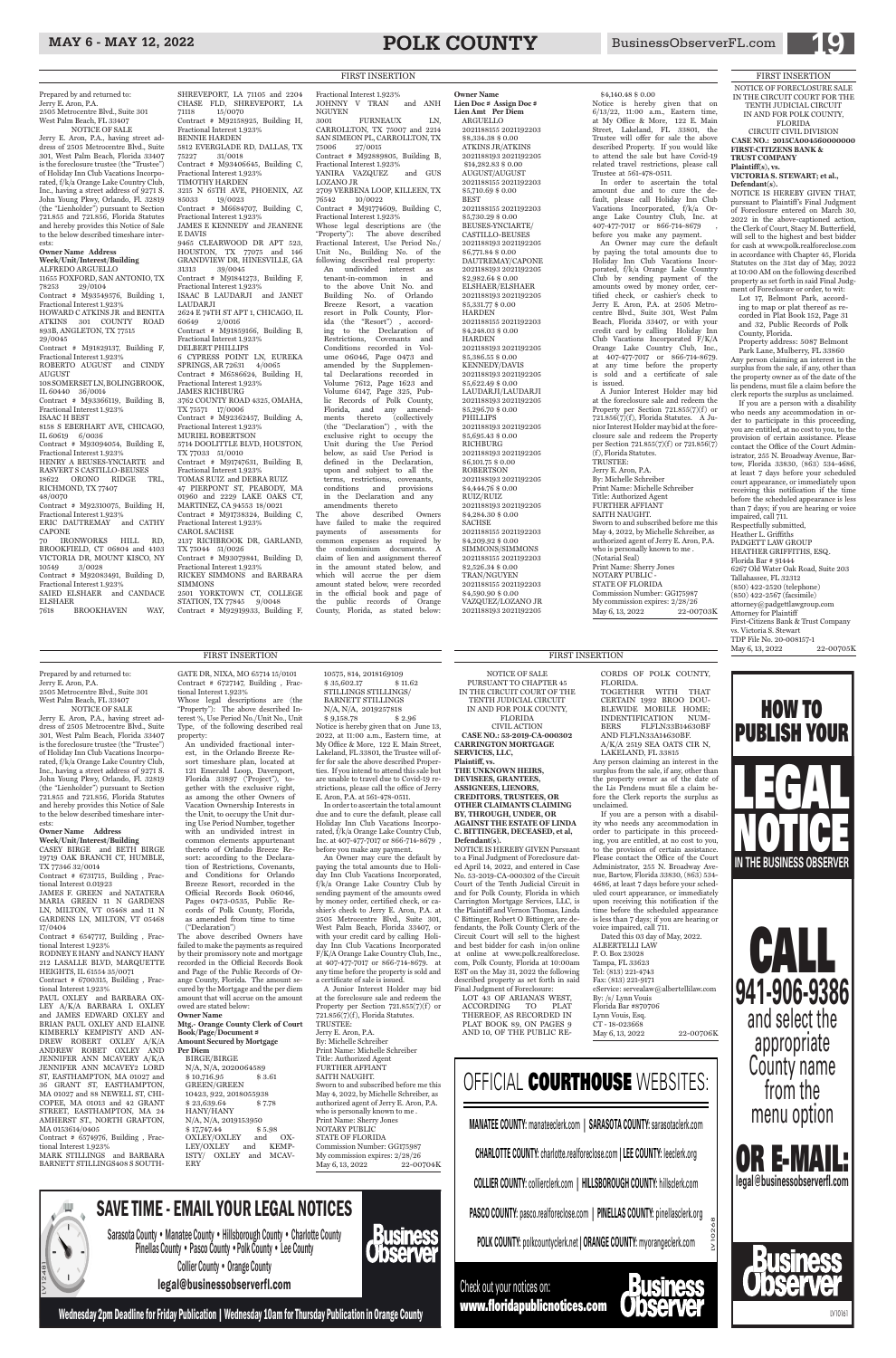## MAY 6 - MAY 12, 2022 **POLK COUNTY** BusinessObserverFL.com **1999**

Prepared by and returned to: Jerry E. Aron, P.A. 2505 Metrocentre Blvd., Suite 301 West Palm Beach, FL 33407 NOTICE OF SALE

Jerry E. Aron, P.A., having street address of 2505 Metrocentre Blvd., Suite 301, West Palm Beach, Florida 33407 is the foreclosure trustee (the "Trustee") of Holiday Inn Club Vacations Incorporated, f/k/a Orange Lake Country Club, Inc., having a street address of 9271 S. John Young Pkwy, Orlando, Fl. 32819 (the "Lienholder") pursuant to Section 721.855 and 721.856, Florida Statutes and hereby provides this Notice of Sale to the below described timeshare interests:

### **Owner Name Address Week/Unit/Interest/Building**

ALFREDO ARGUELLO 11655 FOXFORD, SAN ANTONIO, TX 78253 29/0104 Contract # M93549576, Building 1, Fractional Interest 1.923% HOWARD C ATKINS JR and BENITA ATKINS 301 COUNTY ROAD 893B, ANGLETON, TX 77515 29/0045 Contract # M91829137, Building F, Fractional Interest 1.923% ROBERTO AUGUST and CINDY AUGUST 108 SOMERSET LN, BOLINGBROOK, IL 60440 36/0014 Contract # M93366119, Building B, Fractional Interest 1.923% ISAAC H BEST 8158 S EBERHART AVE, CHICAGO, IL 60619 6/0036 Contract # M93094054, Building E, Fractional Interest 1.923% HENRY A BEUSES-YNCIARTE and RASVERT S CASTILLO-BEUSES 18622 ORONO RIDGE TRL, RICHMOND, TX 77407 48/0070 Contract # M92310075, Building H, Fractional Interest 1.923% ERIC DAUTREMAY and CATHY

CAPONE IRONWORKS HILL RD, BROOKFIELD, CT 06804 and 4103 VICTORIA DR, MOUNT KISCO, NY 10549 3/0028

Contract # M92083491, Building D, Fractional Interest 1.923% SAIED ELSHAER and CANDACE

ELSHAER<br>7618 1 BROOKHAVEN WAY,

CHASE FLD, SHREVEPORT, LA<br>71118 15/0070 15/0070 Contract # M92158925, Building H, Fractional Interest 1.923% BENNIE HARDEN 5812 EVERGLADE RD, DALLAS, TX 75227 31/0018 Contract # M93406645, Building C, Fractional Interest 1.923% TIMOTHY HARDEN 3215 N 65TH AVE, PHOENIX, AZ 85033 19/0023 Contract # M6684707, Building C, Fractional Interest 1.923% JAMES E KENNEDY and JEANENE E DAVIS 9465 CLEARWOOD DR APT 523, HOUSTON, TX 77075 and 146 GRANDVIEW DR, HINESVILLE, GA 31313 39/0045 Contract # M91841273, Building F, Fractional Interest 1.923% ISAAC B LAUDARJI and JANET LAUDARJI 2624 E 74TH ST APT 1, CHICAGO, IL<br>60649 2/0016 60649 2/0016 Contract # M91859166, Building B, Fractional Interest 1.923% DELBERT PHILLIPS 6 CYPRESS POINT LN, EUREKA SPRINGS, AR 72631 4/0065 Contract # M6586624, Building H, Fractional Interest 1.923% JAMES RICHBURG 3762 COUNTY ROAD 4325, OMAHA, TX 75571 17/0006 Contract # M92362457, Building A, Fractional Interest 1.923% MURIEL ROBERTSON 5714 DOOLITTLE BLVD, HOUSTON, TX 77033 51/0010 Contract # M91747631, Building B, Fractional Interest 1.923% TOMAS RUIZ and DEBRA RUIZ 47 PIERPONT ST, PEABODY, MA 01960 and 2229 LAKE OAKS CT, MARTINEZ, CA 94553 18/0021 Contract # M91738324, Building C, Fractional Interest 1.923% CAROL SACHSE 2137 RICHBROOK DR, GARLAND, TX 75044 51/0026 Contract  $*$  M93079841, Building D, Fractional Interest 1.923% RICKEY SIMMONS and BARBARA SIMMONS 2501 YORKTOWN CT, COLLEGE STATION, TX 77845 9/0048 Contract # M92919933, Building F,

SHREVEPORT, LA 71105 and 2204

An Owner may cure the default by paying the total amounts due to Holiday Inn Club Vacations Incorporated, f/k/a Orange Lake Country Club by sending payment of the amounts owed by money order, certified check, or cashier's check to Jerry E. Aron, P.A. at 2505 Metrocentre Blvd., Suite 301, West Palm Beach, Florida 33407, or with your credit card by calling Holiday Inn Club Vacations Incorporated F/K/A Orange Lake Country Club, Inc., at 407-477-7017 or 866-714-8679. at any time before the property is sold and a certificate of sale is issued. A Junior Interest Holder may bid

at the foreclosure sale and redeem the Property per Section 721.855(7)(f) or 721.856(7)(f), Florida Statutes. A Junior Interest Holder may bid at the foreclosure sale and redeem the Property per Section 721.855(7)(f) or 721.856(7) (f), Florida Statutes. TRUSTEE: Jerry E. Aron, P.A. By: Michelle Schreiber Print Name: Michelle Schreiber Title: Authorized Agent FURTHER AFFIANT SAITH NAUGHT. Sworn to and subscribed before me this May 4, 2022, by Michelle Schreiber, as authorized agent of Jerry E. Aron, P.A. who is personally known to me . (Notarial Seal) Print Name: Sherry Jones NOTARY PUBLIC - STATE OF FLORIDA Commission Number: GG175987 My commission expires: 2/28/26 May 6, 13, 2022 22-00703K

Fractional Interest 1.923% JOHNNY V TRAN and ANH NGUYEN 3001 FURNEAUX LN, CARROLLTON, TX 75007 and 2214 SAN SIMEON PL, CARROLLTON, TX 75006 27/0015 Contract # M92889805, Building B, Fractional Interest 1.923% YANIRA VAZQUEZ and GUS LOZANO JR 2709 VERBENA LOOP, KILLEEN, TX 76542 10/0022 Contract # M91774609, Building C, Fractional Interest 1.923% Whose legal descriptions are (the "Property"): The above described Fractional Interest, Use Period No./ Unit No., Building No. of the following described real property: An undivided interest as tenant-in-common in and to the above Unit No. and Building No. of Orlando Breeze Resort, a vacation resort in Polk County, Florida (the "Resort") , according to the Declaration of Restrictions, Covenants and Conditions recorded in Volume 06046, Page 0473 and amended by the Supplemental Declarations recorded in Volume 7612, Page 1623 and Volume 6147, Page 325, Public Records of Polk County, Florida, and any amendments thereto (collectively (the "Declaration") , with the exclusive right to occupy the Unit during the Use Period below, as said Use Period is defined in the Declaration, upon and subject to all the terms, restrictions, covenants, conditions and provisions in the Declaration and any amendments thereto The above described Owners have failed to make the required<br>payments of assessments for payments of assessments common expenses as required by the condominium documents. A claim of lien and assignment thereof

RODNEY E HANY and NANCY HANY 212 LASALLE BLVD, MARQUETTE HEIGHTS, IL 61554 35/0071 Contract  $# 6700315$ , Building

tional Interest 1.923% PAUL OXLEY and BARBARA OX-LEY A/K/A BARBARA L OXLEY and JAMES EDWARD OXLEY and BRIAN PAUL OXLEY AND ELAINE KIMBERLY KEMPISTY AND AN-DREW ROBERT OXLEY A/K/A ANDREW ROBET OXLEY AND JENNIFER ANN MCAVERY A/K/A JENNIFER ANN MCAVEY2 LORD ST, EASTHAMPTON, MA 01027 and 36 GRANT ST, EASTHAMPTON, MA 01027 and 88 NEWELL ST, CHI-COPEE, MA 01013 and 42 GRANT STREET, EASTHAMPTON, MA 24 AMHERST ST., NORTH GRAFTON, MA 0153614/0405 Contract # 6574976, Building , Fractional Interest 1.923% MARK STILLINGS and BARBARA BARNETT STILLINGS408 S SOUTH-

in the amount stated below, and which will accrue the per diem amount stated below, were recorded in the official book and page of<br>the public records of Orange the public records of County, Florida, as stated below:

**Owner Name Lien Doc # Assign Doc # Lien Amt Per Diem**  ARGUELLO 2021188155 2021192203 \$8,334.38 \$ 0.00 ATKINS JR/ATKINS 2021188193 2021192205 \$14,282.83 \$ 0.00 AUGUST/AUGUST 2021188155 2021192203 \$5,710.69 \$ 0.00 BEST 2021188155 2021192203 \$5,730.29 \$ 0.00 BEUSES-YNCIARTE/ CASTILLO-BEUSES 2021188193 2021192205 \$6,771.84 \$ 0.00 DAUTREMAY/CAPONE 2021188193 2021192205 \$2,982.64 \$ 0.00 ELSHAER/ELSHAER 2021188193 2021192205 \$5,331.77 \$ 0.00 **HARDEN** 2021188155 2021192203 \$4,248.03 \$ 0.00 **HARDEN** 2021188193 2021192205 \$5,386.55 \$ 0.00 KENNEDY/DAVIS 2021188193 2021192205 \$5,622.49 \$ 0.00 LAUDARJI/LAUDARJI 2021188193 2021192205 \$5,296.70 \$ 0.00 PHILLIPS 2021188193 2021192205 \$5,695.43 \$ 0.00 RICHBURG 2021188193 2021192205 \$6,101.75 \$ 0.00 ROBERTSON 2021188193 2021192205 \$4,444.76 \$ 0.00 RUIZ/RUIZ 2021188193 2021192205 \$4,284.30 \$ 0.00 **SACHSE** 2021188155 2021192203 \$4,209.92 \$ 0.00 SIMMONS/SIMMONS 2021188155 2021192203 \$2,526.34 \$ 0.00 TRAN/NGUYEN 2021188155 2021192203

 $$9,158.78$ Notice is hereby given that on June 13, \$4,590.90 \$ 0.00 VAZQUEZ/LOZANO JR 2021188193 2021192205

\$4,140.48 \$ 0.00 Notice is hereby given that on 6/13/22, 11:00 a.m., Eastern time, at My Office & More, 122 E. Main Street, Lakeland, FL 33801, the Trustee will offer for sale the above described Property. If you would like to attend the sale but have Covid-19 related travel restrictions, please call Trustee at 561-478-0511.

Jerry E. Aron, P.A. By: Michelle Schreiber Print Name: Michelle Schreiber Title: Authorized Agent FURTHER AFFIANT SAITH NAUGHT. Sworn to and subscribed before me this May 4, 2022, by Michelle Schreiber, as authorized agent of Jerry E. Aron, P.A. who is personally known to me . Print Name: Sherry Jones NOTARY PUBLIC STATE OF FLORIDA Commission Number: GG175987 My commission expires: 2/28/26 May 6, 13, 2022 22-00704K

**Business** 

In order to ascertain the total amount due and to cure the default, please call Holiday Inn Club Vacations Incorporated, f/k/a Orange Lake Country Club, Inc. at 407-477-7017 or 866-714-8679 , before you make any payment.

> TDP File No. 20-008157-1 May 6, 13, 2022 22-00705K

Prepared by and returned to: Jerry E. Aron, P.A. 2505 Metrocentre Blvd., Suite 301 West Palm Beach, FL 33407

NOTICE OF SALE Jerry E. Aron, P.A., having street address of 2505 Metrocentre Blvd., Suite 301, West Palm Beach, Florida 33407 is the foreclosure trustee (the "Trustee") of Holiday Inn Club Vacations Incorporated, f/k/a Orange Lake Country Club, Inc., having a street address of 9271 S. John Young Pkwy, Orlando, Fl. 32819 (the "Lienholder") pursuant to Section

721.855 and 721.856, Florida Statutes and hereby provides this Notice of Sale to the below described timeshare interests: **Owner Name Address**

### **Week/Unit/Interest/Building**

CASEY BIRGE and BETH BIRGE 19719 OAK BRANCH CT, HUMBLE, TX 77346 32/0014

Contract # 6731715, Building , Fractional Interest 0.01923

> eService: servealaw@albertellilaw.com By: /s/ Lynn Vouis Florida Bar #870706 Lynn Vouis, Esq. CT - 18-023668 May 6, 13, 2022 22-00706K

JAMES F. GREEN and NATATERA MARIA GREEN 11 N GARDENS LN, MILTON, VT 05468 and 11 N GARDENS LN, MILTON, VT 05468

17/0404 Contract # 6547717, Building , Fractional Interest 1.923%

GATE DR, NIXA, MO 65714 15/0101 Contract # 6727147, Building , Fractional Interest 1.923%

Whose legal descriptions are (the "Property"): The above described Interest %, Use Period No./Unit No., Unit Type, of the following described real property:

An undivided fractional interest, in the Orlando Breeze Resort timeshare plan, located at 121 Emerald Loop, Davenport, Florida 33897 ('Project"), together with the exclusive right, as among the other Owners of Vacation Ownership Interests in the Unit, to occupy the Unit during Use Period Number, together with an undivided intrest in common elements appurtenant thereto of Orlando Breeze Resort: according to the Declaration of Restrictions, Covenants, and Conditions for Orlando Breeze Resort, recorded in the Official Records Book 06046, Pages 0473-0535, Public Records of Polk County, Florida, as amended from time to time ("Declaration")

The above described Owners have failed to make the payments as required by their promissory note and mortgage recorded in the Official Records Book and Page of the Public Records of Orange County, Florida. The amount secured by the Mortgage and the per diem amount that will accrue on the amount owed are stated below: **Owner Name Mtg.- Orange County Clerk of Court Book/Page/Document # Amount Secured by Mortgage Per Diem** BIRGE/BIRGE N/A, N/A, 2020064589<br>\$10,716.95 \$3.61 \$ 10,716.95 GREEN/GREEN 10423, 922, 2018055938<br>\$23,639.64 \$7.78  $$ 23,639.64$ HANY/HANY N/A, N/A, 2019153950<br>\$17,747.44 \$5.98 \$ 17,747.44 \$ 5.98 OXLEY/OXLEY and OX-LEY/OXLEY and KEMP-ISTY/ OXLEY and MCAV-ERY

 $\begin{array}{lll} 10575, 814, 2018169109 \\ \$~35, 602.17 \end{array} \begin{array}{lll} \text{\$~11.62} \end{array}$  $$35,602.17$ STILLINGS STILLINGS/ BARNETT STILLINGS  $N/A, N/A, 2019257818$ <br> $$9,158.78$ <br> $$2.96$ 

2022, at 11:00 a.m., Eastern time, at My Office & More, 122 E. Main Street, Lakeland, FL 33801, the Trustee will offer for sale the above described Properties. If you intend to attend this sale but are unable to travel due to Covid-19 restrictions, please call the office of Jerry E. Aron, P.A. at 561-478-0511.

In order to ascertain the total amount due and to cure the default, please call Holiday Inn Club Vacations Incorporated, f/k/a Orange Lake Country Club, Inc. at 407-477-7017 or 866-714-8679 , before you make any payment.

An Owner may cure the default by paying the total amounts due to Holiday Inn Club Vacations Incorporated, f/k/a Orange Lake Country Club by sending payment of the amounts owed by money order, certified check, or cashier's check to Jerry E. Aron, P.A. at 2505 Metrocentre Blvd., Suite 301, West Palm Beach, Florida 33407, or with your credit card by calling Holiday Inn Club Vacations Incorporated F/K/A Orange Lake Country Club, Inc., at 407-477-7017 or 866-714-8679. at any time before the property is sold and a certificate of sale is issued.

A Junior Interest Holder may bid at the foreclosure sale and redeem the Property per Section 721.855(7)(f) or 721.856(7)(f), Florida Statutes. TRUSTEE:

FIRST INSERTION

### NOTICE OF FORECLOSURE SALE IN THE CIRCUIT COURT FOR THE TENTH JUDICIAL CIRCUIT IN AND FOR POLK COUNTY, FLORIDA CIRCUIT CIVIL DIVISION

**CASE NO.: 2015CA004560000000 FIRST-CITIZENS BANK & TRUST COMPANY Plaintiff(s), vs.**

**VICTORIA S. STEWART; et al., Defendant(s).**

NOTICE IS HEREBY GIVEN THAT, pursuant to Plaintiff's Final Judgment of Foreclosure entered on March 30, 2022 in the above-captioned action, the Clerk of Court, Stacy M. Butterfield, will sell to the highest and best bidder for cash at www.polk.realforeclose.com in accordance with Chapter 45, Florida Statutes on the 31st day of May, 2022 at 10:00 AM on the following described property as set forth in said Final Judgment of Foreclosure or order, to wit:

Lot 17, Belmont Park, according to map or plat thereof as recorded in Plat Book 152, Page 31 and 32, Public Records of Polk County, Florida.

Property address: 5087 Belmont Park Lane, Mulberry, FL 33860 Any person claiming an interest in the surplus from the sale, if any, other than the property owner as of the date of the lis pendens, must file a claim before the

clerk reports the surplus as unclaimed. If you are a person with a disability who needs any accommodation in order to participate in this proceeding, you are entitled, at no cost to you, to the provision of certain assistance. Please contact the Office of the Court Administrator, 255 N. Broadway Avenue, Bartow, Florida 33830, (863) 534-4686, at least 7 days before your scheduled court appearance, or immediately upon receiving this notification if the time before the scheduled appearance is less than 7 days; if you are hearing or voice impaired, call 711. Respectfully submitted, Heather L. Griffiths PADGETT LAW GROUP HEATHER GRIFFITHS, ESQ. Florida Bar # 91444 6267 Old Water Oak Road, Suite 203 Tallahassee, FL 32312 (850) 422-2520 (telephone) (850) 422-2567 (facsimile) attorney@padgettlawgroup.com Attorney for Plaintiff First-Citizens Bank & Trust Company vs. Victoria S. Stewart

NOTICE OF SALE PURSUANT TO CHAPTER 45 IN THE CIRCUIT COURT OF THE TENTH JUDICIAL CIRCUIT IN AND FOR POLK COUNTY, FLORIDA CIVIL ACTION **CASE NO.: 53-2019-CA-000302**

**CARRINGTON MORTGAGE SERVICES, LLC, Plaintiff, vs. THE UNKNOWN HEIRS, DEVISEES, GRANTEES, ASSIGNEES, LIENORS, CREDITORS, TRUSTEES, OR OTHER CLAIMANTS CLAIMING BY, THROUGH, UNDER, OR AGAINST THE ESTATE OF LINDA C. BITTINGER, DECEASED, et al, Defendant(s).**

NOTICE IS HEREBY GIVEN Pursuant to a Final Judgment of Foreclosure dated April 14, 2022, and entered in Case No. 53-2019-CA-000302 of the Circuit Court of the Tenth Judicial Circuit in and for Polk County, Florida in which Carrington Mortgage Services, LLC, is the Plaintiff and Vernon Thomas, Linda C Bittinger, Robert O Bittinger, are defendants, the Polk County Clerk of the Circuit Court will sell to the highest and best bidder for cash in/on online at online at www.polk.realforeclose. com, Polk County, Florida at 10:00am EST on the May 31, 2022 the following described property as set forth in said Final Judgment of Foreclosure: LOT 43 OF ARIANA'S WEST,<br>ACCORDING TO PLAT ACCORDING TO THEREOF, AS RECORDED IN PLAT BOOK 89, ON PAGES 9 AND 10, OF THE PUBLIC RE-

CORDS OF POLK COUNTY, FLORIDA. TOGETHER WITH THAT CERTAIN 1992 BROO DOU-BLEWIDE MOBILE HOME; INDENTIFICATION NUM-BERS FLFLN33B14630BF AND FLFLN33A14630BF. A/K/A 2519 SEA OATS CIR N, LAKELAND, FL 33815

Any person claiming an interest in the surplus from the sale, if any, other than the property owner as of the date of the Lis Pendens must file a claim before the Clerk reports the surplus as unclaimed.

If you are a person with a disability who needs any accommodation in order to participate in this proceeding, you are entitled, at no cost to you, to the provision of certain assistance. Please contact the Office of the Court Administrator, 255 N. Broadway Avenue, Bartow, Florida 33830, (863) 534- 4686, at least 7 days before your scheduled court appearance, or immediately upon receiving this notification if the time before the scheduled appearance is less than 7 days; if you are hearing or voice impaired, call 711.

Dated this 03 day of May, 2022. ALBERTELLI LAW P. O. Box 23028 Tampa, FL 33623 Tel: (813) 221-4743 Fax: (813) 221-9171



## SAVE TIME - EMAIL YOUR LEGAL NOTICES

Sarasota County • Manatee County • Hillsborough County • Charlotte County Pinellas County • Pasco County • Polk County • Lee County Collier County • Orange County legal@businessobserverfl.com

Wednesday 2pm Deadline for Friday Publication | Wednesday 10am for Thursday Publication in Orange County

LV10268

**MANATEE COUNTY:** manateeclerk.com **| SARASOTA COUNTY:** sarasotaclerk.com

**CHARLOTTE COUNTY:** charlotte.realforeclose.com **| LEE COUNTY:** leeclerk.org

**COLLIER COUNTY:** collierclerk.com **| HILLSBOROUGH COUNTY:** hillsclerk.com

**PASCO COUNTY:** pasco.realforeclose.com | PINELLAS COUNTY: pinellasclerk.org

**POLK COUNTY:** polkcountyclerk.net **| ORANGE COUNTY:** myorangeclerk.com

## OFFICIAL COURTHOUSE WEBSITES:

Check out your notices on: www.floridapublicnotices.com





### FIRST INSERTION FIRST IN EXAMPLE TO A REPORT OF THE SERVICE OF THE SERVICE OF THE SERVICE OF THE SERVICE OF THE SERVICE OF THE SERVICE OF THE SERVICE OF THE SERVICE OF THE SERVICE OF THE SERVICE OF THE SERVICE OF THE SERVI

LV10161

FIRST INSERTION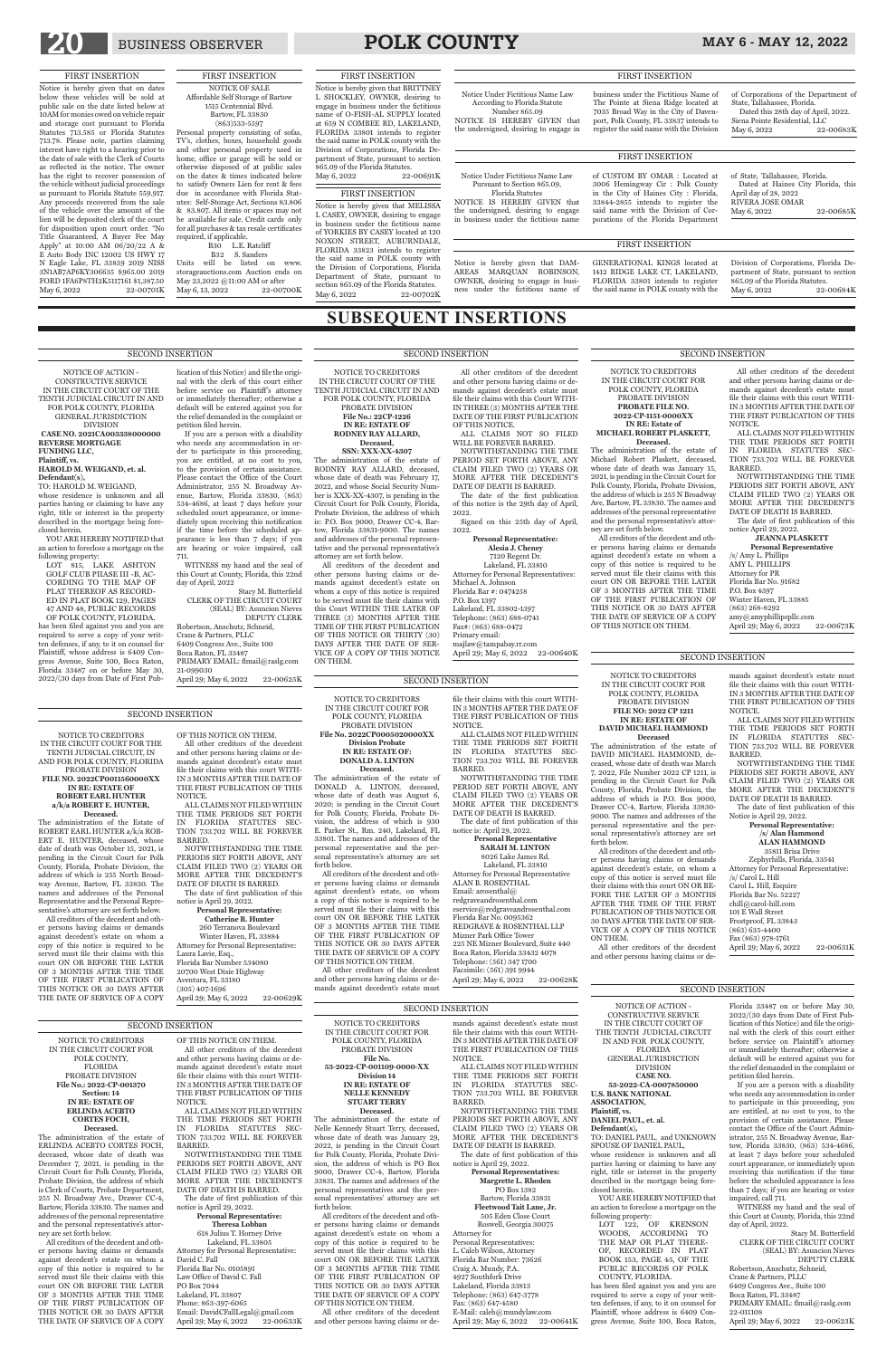## 20 BUSINESS OBSERVER **POLK COUNTY** MAY 6 - MAY 12, 2022

NOTICE OF ACTION - CONSTRUCTIVE SERVICE IN THE CIRCUIT COURT OF THE TENTH JUDICIAL CIRCUIT IN AND FOR POLK COUNTY, FLORIDA GENERAL JURISDICTION DIVISION **CASE NO. 53-2022-CA-0007850000 U.S. BANK NATIONAL ASSOCIATION, Plaintiff, vs. DANIEL PAUL, et. al. Defendant(s),** TO: DANIEL PAUL, and UNKNOWN SPOUSE OF DANIEL PAUL,

YOU ARE HEREBY NOTIFIED that an action to foreclose a mortgage on the

whose residence is unknown and all parties having or claiming to have any right, title or interest in the property described in the mortgage being foreclosed herein.

following property: LOT 122, OF KRENSON WOODS, ACCORDING TO THE MAP OR PLAT THERE-OF, RECORDED IN PLAT BOOK 153, PAGE 45, OF THE PUBLIC RECORDS OF POLK COUNTY, FLORIDA.

has been filed against you and you are required to serve a copy of your written defenses, if any, to it on counsel for Plaintiff, whose address is 6409 Congress Avenue, Suite 100, Boca Raton,

Florida 33487 on or before May 30, 2022/(30 days from Date of First Publication of this Notice) and file the original with the clerk of this court either before service on Plaintiff's attorney or immediately thereafter; otherwise a default will be entered against you for the relief demanded in the complaint or petition filed herein.

If you are a person with a disability who needs any accommodation in order to participate in this proceeding, you are entitled, at no cost to you, to the provision of certain assistance. Please contact the Office of the Court Administrator, 255 N. Broadway Avenue, Bartow, Florida 33830, (863) 534-4686, at least 7 days before your scheduled court appearance, or immediately upon receiving this notification if the time before the scheduled appearance is less than 7 days; if you are hearing or voice impaired, call 711.

WITNESS my hand and the seal of this Court at County, Florida, this 22nd day of April, 2022.

Stacy M. Butterfield CLERK OF THE CIRCUIT COURT (SEAL) BY: Asuncion Nieves DEPUTY CLERK Robertson, Anschutz, Schneid, Crane & Partners, PLLC 6409 Congress Ave., Suite 100 Boca Raton, FL 33487 PRIMARY EMAIL: flmail@raslg.com 22-011108

April 29; May 6, 2022 22-00623K

Robertson, Anschutz, Schneid, Crane & Partners, PLLC 6409 Congress Ave., Suite 100 Boca Raton, FL 33487 PRIMARY EMAIL: flmail@raslg.com 21-099030 April 29; May 6, 2022 22-00625K

NOTICE OF ACTION - CONSTRUCTIVE SERVICE IN THE CIRCUIT COURT OF THE TENTH JUDICIAL CIRCUIT IN AND FOR POLK COUNTY, FLORIDA GENERAL JURISDICTION DIVISION **CASE NO. 2021CA003338000000**

**REVERSE MORTGAGE FUNDING LLC, Plaintiff, vs.**

### **HAROLD M. WEIGAND, et. al. Defendant(s),** TO: HAROLD M. WEIGAND,

whose residence is unknown and all parties having or claiming to have any right, title or interest in the property described in the mortgage being foreclosed herein.

YOU ARE HEREBY NOTIFIED that an action to foreclose a mortgage on the following property: LOT 815, LAKE ASHTON

GOLF CLUB PIIASE III -B, AC-CORDING TO THE MAP OF PLAT THEREOF AS RECORD-ED IN PLAT BOOK 129, PAGES 47 AND 48, PUBLIC RECORDS OF POLK COUNTY, FLORIDA.

has been filed against you and you are required to serve a copy of your written defenses, if any, to it on counsel for Plaintiff, whose address is 6409 Congress Avenue, Suite 100, Boca Raton, Florida 33487 on or before May 30, 2022/(30 days from Date of First Publication of this Notice) and file the original with the clerk of this court either before service on Plaintiff's attorney or immediately thereafter; otherwise a default will be entered against you for the relief demanded in the complaint or petition filed herein.

If you are a person with a disability who needs any accommodation in order to participate in this proceeding, you are entitled, at no cost to you, to the provision of certain assistance. Please contact the Office of the Court Administrator, 255 N. Broadway Avenue, Bartow, Florida 33830, (863) 534-4686, at least 7 days before your scheduled court appearance, or immediately upon receiving this notification if the time before the scheduled appearance is less than 7 days; if you are hearing or voice impaired, call 711.

(305) 407-1696 April 29; May 6, 2022 22-00629K

WITNESS my hand and the seal of this Court at County, Florida, this 22nd day of April, 2022 Stacy M. Butterfield

CLERK OF THE CIRCUIT COURT (SEAL) BY: Asuncion Nieves DEPUTY CLERK

### SECOND INSERTION

### SECOND INSERTION

**SUBSEQUENT INSERTIONS**

NOTICE TO CREDITORS PROBATE DIVISION

### IN THE CIRCUIT COURT FOR POLK COUNTY, FLORIDA

### **File No. 2022CP0005020000XX Division Probate IN RE: ESTATE OF: DONALD A. LINTON Deceased.**

The administration of the estate of DONALD A. LINTON, deceased, whose date of death was August 6, 2020; is pending in the Circuit Court for Polk County, Florida, Probate Division, the address of which is 930 E. Parker St., Rm. 240, Lakeland, FL 33801. The names and addresses of the sonal representative's attorney are set

> Fax (863) 978-1761 April 29; May 6, 2022 22-00631K

personal representative and the perforth below.

All creditors of the decedent and other persons having claims or demands against decedent's estate, on whom a copy of this notice is required to be served must file their claims with this court ON OR BEFORE THE LATER OF 3 MONTHS AFTER THE TIME OF THE FIRST PUBLICATION OF THIS NOTICE OR 30 DAYS AFTER THE DATE OF SERVICE OF A COPY OF THIS NOTICE ON THEM.

All other creditors of the decedent and other persons having claims or de-

mands against decedent's estate must

file their claims with this court WITH-

NOTICE.

IN 3 MONTHS AFTER THE DATE OF THE FIRST PUBLICATION OF THIS ALL CLAIMS NOT FILED WITHIN THE TIME PERIODS SET FORTH IN FLORIDA STATUTES SEC-

TION 733.702 WILL BE FOREVER

BARRED.

April 29; May 6, 2022 22-00640K

NOTWITHSTANDING THE TIME

PERIOD SET FORTH ABOVE, ANY CLAIM FILED TWO (2) YEARS OR MORE AFTER THE DECEDENT'S

Lakeland, FL 33805 Attorney for Personal Representative: David C. Fall Florida Bar No. 0105891 Law Office of David C. Fall PO Box 7044 Lakeland, FL 33807 Phone: 863-397-6065 Email: DavidCFallLegal@gmail.com April 29; May 6, 2022 22-00633K

DATE OF DEATH IS BARRED. The date of first publication of this notice is: April 29, 2022. **Personal Representative SARAH M. LINTON** 8026 Lake James Rd.

Lakeland, FL 33810 Attorney for Personal Representative ALAN B. ROSENTHAL Email: arosenthal@ redgraveandrosenthal.com eservice@redgraveandrosenthal.com Florida Bar No. 0095362 REDGRAVE & ROSENTHAL LLP Mizner Park Office Tower 225 NE Mizner Boulevard, Suite 440 Boca Raton, Florida 33432 4078 Telephone: (561) 347 1700 Facsimile: (561) 391 9944

and other persons having claims or demands against decedent's estate must file their claims with this Court WITH-IN THREE (3) MONTHS AFTER THE DATE OF THE FIRST PUBLICATION OF THIS NOTICE. ALL CLAIMS NOT SO FILED

WILL BE FOREVER BARRED. NOTWITHSTANDING THE TIME PERIOD SET FORTH ABOVE, ANY CLAIM FILED TWO (2) YEARS OR MORE AFTER THE DECEDENT'S DATE OF DEATH IS BARRED. The date of the first publication

NOTICE TO CREDITORS IN THE CIRCUIT COURT FOR THE TENTH JUDICIAL CIRCUIT, IN AND FOR POLK COUNTY, FLORIDA PROBATE DIVISION **FILE NO. 2022CP0011560000XX IN RE: ESTATE OF ROBERT EARL HUNTER a/k/a ROBERT E. HUNTER,** NOTICE.

Representative and the Personal Representative's attorney are set forth below. All creditors of the decedent and other persons having claims or demands against decedent's estate on whom a copy of this notice is required to be served must file their claims with this court ON OR BEFORE THE LATER OF 3 MONTHS AFTER THE TIME OF THE FIRST PUBLICATION OF

**Deceased.** The administration of the Estate of ROBERT EARL HUNTER a/k/a ROB-ERT E. HUNTER, deceased, whose date of death was October 15, 2021, is pending in the Circuit Court for Polk County, Florida, Probate Division, the address of which is 255 North Broadway Avenue, Bartow, FL 33830. The names and addresses of the Personal BARRED.

THIS NOTICE OR 30 DAYS AFTER THE DATE OF SERVICE OF A COPY and other persons having claims or demands against decedent's estate must file their claims with this court WITH-IN 3 MONTHS AFTER THE DATE OF THE FIRST PUBLICATION OF THIS

ALL CLAIMS NOT FILED WITHIN THE TIME PERIODS SET FORTH IN FLORIDA STATUTES SEC-TION 733.702 WILL BE FOREVER

> Personal Representatives: L. Caleb Wilson, Attorney Florida Bar Number: 73626 Craig A. Mundy, P.A. 4927 Southfork Drive Lakeland, Florida 33813 Telephone: (863) 647-3778 Fax: (863) 647-4580 E-Mail: caleb@mundylaw.com April 29; May 6, 2022 22-00641K

NOTWITHSTANDING THE TIME PERIODS SET FORTH ABOVE, ANY CLAIM FILED TWO (2) YEARS OR MORE AFTER THE DECEDENT'S DATE OF DEATH IS BARRED.

The date of first publication of this notice is April 29, 2022.

**Personal Representative: Catherine B. Hunter** 260 Terranova Boulevard Winter Haven, FL 33884 Attorney for Personal Representative: Laura Lavie, Esq., Florida Bar Number 534080 20700 West Dixie Highway Aventura, FL 33180

### NOTICE TO CREDITORS IN THE CIRCUIT COURT FOR POLK COUNTY, FLORIDA PROBATE DIVISION **FILE NO: 2022 CP 1211 IN RE: ESTATE OF**

**DAVID MICHAEL HAMMOND Deceased**

The administration of the estate of DAVID MICHAEL HAMMOND, deceased, whose date of death was March 7, 2022, File Number 2022 CP 1211, is pending in the Circuit Court for Polk County, Florida, Probate Division, the address of which is P.O. Box 9000, Drawer CC-4, Bartow, Florida 33830- 9000. The names and addresses of the personal representative and the personal representative's attorney are set

**JEANNA PLASKETT Personal Representative** /s/ Amy L. Phillips AMY L. PHILLIPS Attorney for PR Florida Bar No. 91682 P.O. Box 4397 Winter Haven, FL 33885 (863) 268-8292 amy@amyphillipspllc.com April 29; May 6, 2022 22-00673K

forth below.

All creditors of the decedent and oth-

er persons having claims or demands against decedent's estate, on whom a copy of this notice is served must file their claims with this court ON OR BE-FORE THE LATER OF 3 MONTHS AFTER THE TIME OF THE FIRST PUBLICATION OF THIS NOTICE OR 30 DAYS AFTER THE DATE OF SER-VICE OF A COPY OF THIS NOTICE ON THEM.

Units will be listed on www. storageauctions.com Auction ends on May 23,2022 @11:00 AM or after<br>May 6, 13, 2022 22-00700K May 6, 13, 2022

FIRST INSERTION Notice is hereby given that on dates below these vehicles will be sold at public sale on the date listed below at 10AM for monies owed on vehicle repair and storage cost pursuant to Florida Statutes 713.585 or Florida Statutes 713.78. Please note, parties claiming interest have right to a hearing prior to the date of sale with the Clerk of Courts as reflected in the notice. The owner has the right to recover possession of the vehicle without judicial proceedings as pursuant to Florida Statute 559.917. Any proceeds recovered from the sale of the vehicle over the amount of the lien will be deposited clerk of the court for disposition upon court order. "No Title Guaranteed, A Buyer Fee May Apply" at 10:00 AM 06/20/22 A & E Auto Body INC 12002 US HWY 17 N Eagle Lake, FL 33839 2019 NISS 3N1AB7AP6KY306635 \$965.00 2019 FORD 1FA6P8TH2K5117161 \$1,387.50 May 6, 2022 22-00701K

> All other creditors of the decedent and other persons having claims or de

mands against decedent's estate must file their claims with this court WITH-IN 3 MONTHS AFTER THE DATE OF THE FIRST PUBLICATION OF THIS NOTICE.

ALL CLAIMS NOT FILED WITHIN THE TIME PERIODS SET FORTH IN FLORIDA STATUTES SEC-TION 733.702 WILL BE FOREVER BARRED.

NOTWITHSTANDING THE TIME PERIODS SET FORTH ABOVE, ANY CLAIM FILED TWO (2) YEARS OR MORE AFTER THE DECEDENT'S DATE OF DEATH IS BARRED.

The date of first publication of this Notice is April 29, 2022.

### **Personal Representative: /s/ Alan Hammond ALAN HAMMOND** 35811 Brisa Drive

Dated this 28th day of April, 2022. Siena Pointe Residential, LLC<br>May 6, 2022 22-00683K

Zephyrhills, Florida, 33541 Attorney for Personal Representative:  $\sqrt{s}$  Carol L. Hill Carol L. Hill, Esquire Florida Bar No. 52227 chill@carol-hill.com 101 E Wall Street Frostproof, FL 33843 (863) 635-4400

Division of Corporations, Florida Department of State, pursuant to section 865.09 of the Florida Statutes. May 6, 2022 22-00684K

May 6, 2022 22-00685K

### NOTICE TO CREDITORS IN THE CIRCUIT COURT FOR POLK COUNTY, FLORIDA PROBATE DIVISION **File No.: 2022-CP-001370 Section: 14 IN RE: ESTATE OF ERLINDA ACEBTO CORTES FOCH, Deceased.**

FIRST INSERTION Notice is hereby given that BRITTNEY L SHOCKLEY, OWNER, desiring to engage in business under the fictitious name of O-FISH-AL SUPPLY located at 659 N COMBEE RD, LAKELAND, FLORIDA 33801 intends to register the said name in POLK county with the Division of Corporations, Florida Department of State, pursuant to section 865.09 of the Florida Statutes. May 6, 2022 22-00691K

The administration of the estate of ERLINDA ACEBTO CORTES FOCH, deceased, whose date of death was December 7, 2021, is pending in the Circuit Court for Polk County, Florida, Probate Division, the address of which is Clerk of Courts, Probate Department, 255 N. Broadway Ave., Drawer CC-4, Bartow, Florida 33830. The names and addresses of the personal representative and the personal representative's attorney are set forth below.

Notice is hereby given that MELISSA L CASEY, OWNER, desiring to engage in business under the fictitious name of YORKIES BY CASEY located at 120 NOXON STREET, AUBURNDALE, FLORIDA 33823 intends to register the said name in POLK county with the Division of Corporations, Florida Department of State, pursuant to section 865.09 of the Florida Statutes. May 6, 2022 22-00702K

All creditors of the decedent and other persons having claims or demands against decedent's estate on whom a copy of this notice is required to be served must file their claims with this court ON OR BEFORE THE LATER OF 3 MONTHS AFTER THE TIME OF THE FIRST PUBLICATION OF THIS NOTICE OR 30 DAYS AFTER THE DATE OF SERVICE OF A COPY

### OF THIS NOTICE ON THEM. All other creditors of the decedent and other persons having claims or demands against decedent's estate must file their claims with this court WITH-IN 3 MONTHS AFTER THE DATE OF

THE FIRST PUBLICATION OF THIS

NOTICE. ALL CLAIMS NOT FILED WITHIN THE TIME PERIODS SET FORTH IN FLORIDA STATUTES SEC-TION 733.702 WILL BE FOREVER BARRED.

NOTWITHSTANDING THE TIME PERIODS SET FORTH ABOVE, ANY CLAIM FILED TWO (2) YEARS OR MORE AFTER THE DECEDENT'S DATE OF DEATH IS BARRED.

The date of first publication of this notice is April 29, 2022.

### **Personal Representative: Theresa Lobban**

### 618 Julius T. Horney Drive

NOTICE TO CREDITORS IN THE CIRCUIT COURT OF THE TENTH JUDICIAL CIRCUIT IN AND FOR POLK COUNTY, FLORIDA PROBATE DIVISION **File No.: 22CP-1226 IN RE: ESTATE OF RODNEY RAY ALLARD, Deceased, SSN: XXX-XX-4307** The administration of the estate of RODNEY RAY ALLARD, deceased, whose date of death was February 17, 2022, and whose Social Security Number is XXX-XX-4307, is pending in the Circuit Court for Polk County, Florida, Probate Division, the address of which is: P.O. Box 9000, Drawer CC-4, Bartow, Florida 33831-9000. The names and addresses of the personal represen-

OF THIS NOTICE ON THEM. All other creditors of the decedent SECOND INSERTION

attorney are set forth below.

All other creditors of the decedent

tative and the personal representative's All creditors of the decedent and other persons having claims or demands against decedent's estate on **Alesia J. Cheney** Michael A. Johnson

whom a copy of this notice is required to be served must file their claims with this Court WITHIN THE LATER OF THREE (3) MONTHS AFTER THE TIME OF THE FIRST PUBLICATION OF THIS NOTICE OR THIRTY (30) DAYS AFTER THE DATE OF SER-P.O. Box 1397 Fax#: (863) 688-0472 Primary email:

of this notice is the 29th day of April, 2022. Signed on this 25th day of April, 2022.

**Personal Representative:**

7120 Regent Dr. Lakeland, FL 33810 Attorney for Personal Representatives: majlaw@tampabay.rr.com

### Florida Bar #: 0474258 Lakeland, FL 33802-1397 Telephone: (863) 688-0741

### **NELLE KENNEDY STUART TERRY Deceased.**

The administration of the estate of Nelle Kennedy Stuart Terry, deceased, whose date of death was January 29, 2022, is pending in the Circuit Court for Polk County, Florida, Probate Division, the address of which is PO Box 9000, Drawer CC-4, Bartow, Florida 33831. The names and addresses of the personal representatives and the personal representatives' attorney are set forth below.

All creditors of the decedent and other persons having claims or demands against decedent's estate on whom a copy of this notice is required to be served must file their claims with this court ON OR BEFORE THE LATER OF 3 MONTHS AFTER THE TIME OF THE FIRST PUBLICATION OF THIS NOTICE OR 30 DAYS AFTER THE DATE OF SERVICE OF A COPY OF THIS NOTICE ON THEM.

All other creditors of the decedent and other persons having claims or demands against decedent's estate must file their claims with this court WITH-IN 3 MONTHS AFTER THE DATE OF THE FIRST PUBLICATION OF THIS NOTICE. ALL CLAIMS NOT FILED WITHIN

April 29; May 6, 2022 22-00628K

### THE TIME PERIODS SET FORTH IN FLORIDA STATUTES SEC-TION 733.702 WILL BE FOREVER BARRED. NOTWITHSTANDING THE TIME

PERIODS SET FORTH ABOVE, ANY CLAIM FILED TWO (2) YEARS OR MORE AFTER THE DECEDENT'S DATE OF DEATH IS BARRED.

### VICE OF A COPY OF THIS NOTICE ON THEM. SECOND INSERTION

The date of first publication of this notice is April 29, 2022.

**Personal Representatives: Margrette L. Rhoden**

PO Box 1382 Bartow, Florida 33831

**Fleetwood Tait Lane, Jr.** 505 Eden Close Court Roswell, Georgia 30075 Attorney for

NOTICE TO CREDITORS IN THE CIRCUIT COURT FOR POLK COUNTY, FLORIDA PROBATE DIVISION **File No. 53-2022-CP-001109-0000-XX Division 14 IN RE: ESTATE OF**  SECOND INSERTION

NOTICE TO CREDITORS IN THE CIRCUIT COURT FOR POLK COUNTY, FLORIDA PROBATE DIVISION **PROBATE FILE NO. 2022-CP-1151-0000XX IN RE: Estate of MICHAEL ROBERT PLASKETT, Deceased.** The administration of the estate of Michael Robert Plaskett, deceased, whose date of death was January 15, 2021, is pending in the Circuit Court for Polk County, Florida, Probate Division, the address of which is 255 N Broadway Ave, Bartow, FL 33830. The names and addresses of the personal representative and the personal representative's attor-

ney are set forth below.

All creditors of the decedent and other persons having claims or demands

against decedent's estate on whom a copy of this notice is required to be served must file their claims with this court ON OR BEFORE THE LATER OF 3 MONTHS AFTER THE TIME

OF THE FIRST PUBLICATION OF THIS NOTICE OR 30 DAYS AFTER THE DATE OF SERVICE OF A COPY OF THIS NOTICE ON THEM.

All other creditors of the decedent and other persons having claims or demands against decedent's estate must file their claims with this court WITH-IN 3 MONTHS AFTER THE DATE OF THE FIRST PUBLICATION OF THIS NOTICE.

ALL CLAIMS NOT FILED WITHIN THE TIME PERIODS SET FORTH IN FLORIDA STATUTES SEC-TION 733.702 WILL BE FOREVER BARRED.

NOTWITHSTANDING THE TIME PERIODS SET FORTH ABOVE, ANY CLAIM FILED TWO (2) YEARS OR MORE AFTER THE DECEDENT'S DATE OF DEATH IS BARRED. The date of first publication of this

notice April 29, 2022.

### SECOND INSERTION

SECOND INSERTION

### SECOND INSERTION

### SECOND INSERTION

### FIRST INSERTION

### NOTICE OF SALE Affordable Self Storage of Bartow 1515 Centennial Blvd. Bartow, FL 33830 (863)533-5597 Personal property consisting of sofas,

TV's, clothes, boxes, household goods and other personal property used in home, office or garage will be sold or otherwise disposed of at public sales on the dates & times indicated below to satisfy Owners Lien for rent & fees due in accordance with Florida Statutes: Self-Storage Act, Sections 83.806 & 83.807. All items or spaces may not be available for sale. Credit cards only for all purchases & tax resale certificates required, if applicable.

### B30 L.E. Ratcliff B32 S. Sanders

### Notice Under Fictitious Name Law According to Florida Statute

Number 865.09 NOTICE IS HEREBY GIVEN that the undersigned, desiring to engage in business under the Fictitious Name of The Pointe at Siena Ridge located at 7035 Broad Way in the City of Davenport, Polk County, FL 33837 intends to register the said name with the Division

of Corporations of the Department of

State, Tallahassee, Florida.

Notice is hereby given that DAM-AREAS MARQUAN ROBINSON, OWNER, desiring to engage in business under the fictitious name of GENERATIONAL KINGS located at 1412 RIDGE LAKE CT, LAKELAND, FLORIDA 33801 intends to register the said name in POLK county with the

### Notice Under Fictitious Name Law Pursuant to Section 865.09, Florida Statutes

NOTICE IS HEREBY GIVEN that the undersigned, desiring to engage in business under the fictitious name

of CUSTOM BY OMAR : Located at 3006 Hemingway Cir : Polk County in the City of Haines City : Florida, 33844-2855 intends to register the of State, Tallahassee, Florida. Dated at Haines City Florida, this

April day of 28, 2022 RIVERA JOSE OMAR

May 6, 2022

### said name with the Division of Corporations of the Florida Department FIRST INSERTION

### FIRST INSERTION

FIRST INSERTION

FIRST INSERTION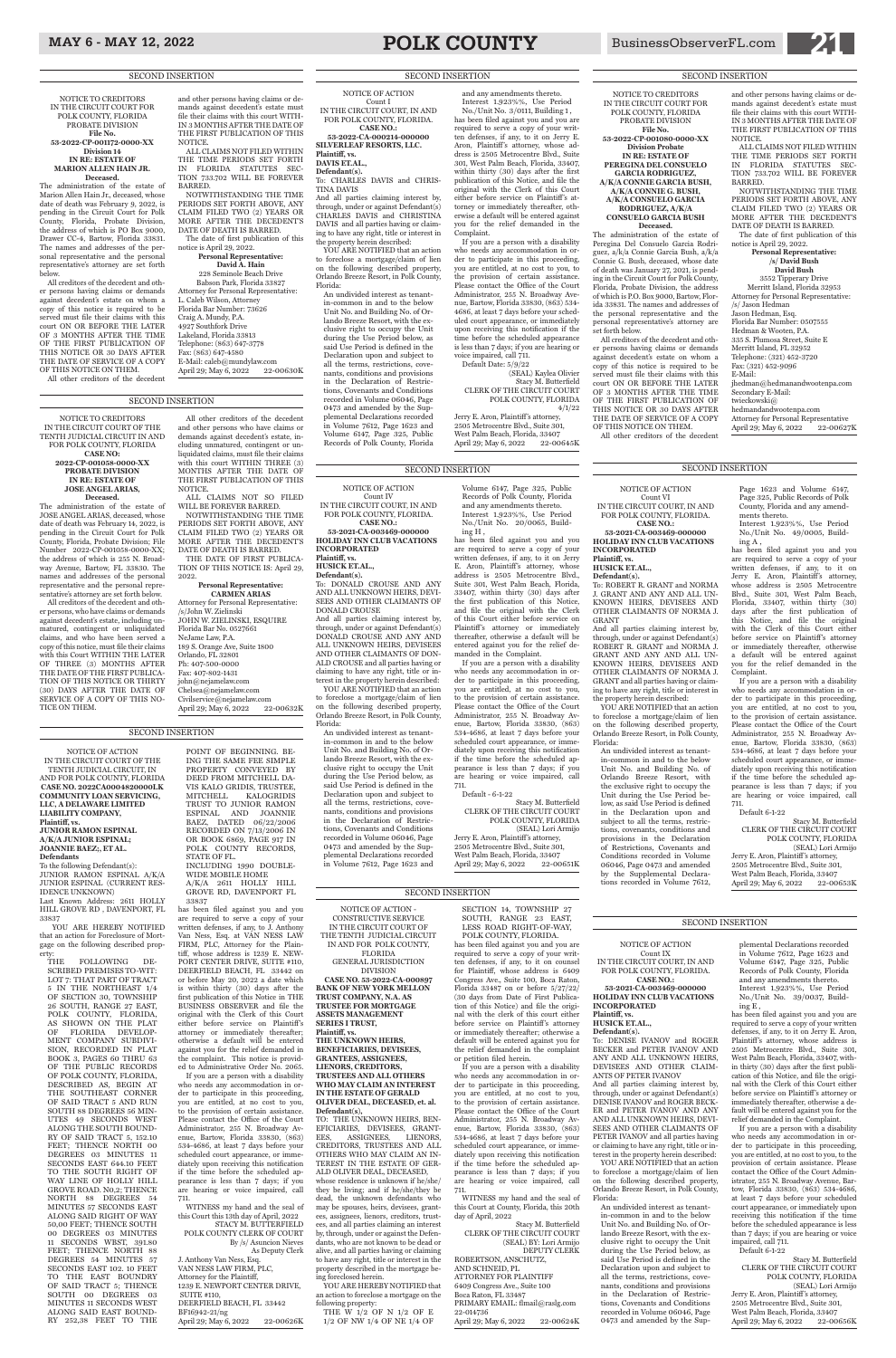## MAY 6 - MAY 12, 2022 **POLK COUNTY** BusinessObserverFL.com **21**

NOTICE OF ACTION - CONSTRUCTIVE SERVICE IN THE CIRCUIT COURT OF THE TENTH JUDICIAL CIRCUIT IN AND FOR POLK COUNTY, FLORIDA GENERAL JURISDICTION DIVISION **CASE NO. 53-2022-CA-000897**

### **BANK OF NEW YORK MELLON TRUST COMPANY, N.A. AS TRUSTEE FOR MORTGAGE ASSETS MANAGEMENT SERIES I TRUST, Plaintiff, vs.**

### **THE UNKNOWN HEIRS, BENEFICIARIES, DEVISEES, GRANTEES, ASSIGNEES, LIENORS, CREDITORS, TRUSTEES AND ALL OTHERS WHO MAY CLAIM AN INTEREST IN THE ESTATE OF GERALD OLIVER DEAL, DECEASED, et. al.**

SECTION 14, TOWNSHIP 27 SOUTH, RANGE 23 EAST, LESS ROAD RIGHT-OF-WAY, POLK COUNTY, FLORIDA. has been filed against you and you are required to serve a copy of your written defenses, if any, to it on counsel for Plaintiff, whose address is 6409 Congress Ave., Suite 100, Boca Raton,

April 29; May 6, 2022 22-00651K

**Defendant(s),** TO: THE UNKNOWN HEIRS, BEN-EFICIARIES, DEVISEES, GRANT-EES, ASSIGNEES, LIENORS, CREDITORS, TRUSTEES AND ALL OTHERS WHO MAY CLAIM AN IN-TEREST IN THE ESTATE OF GER-ALD OLIVER DEAL, DECEASED, whose residence is unknown if he/she/ they be living; and if he/she/they be dead, the unknown defendants who may be spouses, heirs, devisees, grantees, assignees, lienors, creditors, trustees, and all parties claiming an interest by, through, under or against the Defendants, who are not known to be dead or alive, and all parties having or claiming to have any right, title or interest in the property described in the mortgage being foreclosed herein.

YOU ARE HEREBY NOTIFIED that an action to foreclose a mortgage on the

following property: THE W 1/2 OF N 1/2 OF E 1/2 OF NW 1/4 OF NE 1/4 OF

ATTORNEY FOR PLAINTIFF 6409 Congress Ave., Suite 100 Boca Raton, FL 33487 PRIMARY EMAIL: flmail@raslg.com 22-014736 April 29; May 6, 2022 22-00624K

FOLLOWING DE-SCRIBED PREMISES TO-WIT: LOT 7: THAT PART OF TRACT

> Florida 33487 on or before 5/27/22/ (30 days from Date of First Publication of this Notice) and file the original with the clerk of this court either before service on Plaintiff's attorney or immediately thereafter; otherwise a default will be entered against you for the relief demanded in the complaint or petition filed herein.

> If you are a person with a disability who needs any accommodation in order to participate in this proceeding, you are entitled, at no cost to you, to the provision of certain assistance. Please contact the Office of the Court Administrator, 255 N. Broadway Avenue, Bartow, Florida 33830, (863) 534-4686, at least 7 days before your scheduled court appearance, or immediately upon receiving this notification if the time before the scheduled appearance is less than 7 days; if you are hearing or voice impaired, call 711.

has been filed against you and you are required to serve a copy of your written defenses, if any, to J. Anthony Van Ness, Esq. at VAN NESS LAW FIRM, PLC, Attorney for the Plaintiff, whose address is 1239 E. NEW-PORT CENTER DRIVE, SUITE #110, DEERFIELD BEACH, FL 33442 on or before May 20, 2022 a date which is within thirty (30) days after the first publication of this Notice in THE BUSINESS OBSERVER and file the original with the Clerk of this Court either before service on Plaintiff's attorney or immediately thereafter; otherwise a default will be entered against you for the relief demanded in the complaint. This notice is provided to Administrative Order No. 2065. If you are a person with a disability who needs any accommodation in order to participate in this proceeding, you are entitled, at no cost to you, to the provision of certain assistance. Please contact the Office of the Court Administrator, 255 N. Broadway Avenue, Bartow, Florida 33830, (863) 534-4686, at least 7 days before your scheduled court appearance, or immediately upon receiving this notification if the time before the scheduled appearance is less than 7 days; if you are hearing or voice impaired, call 711. WITNESS my hand and the seal of this Court this 13th day of April, 2022 STACY M. BUTTERFIELD POLK COUNTY CLERK OF COURT By /s/ Asuncion Nieves As Deputy Clerk J. Anthony Van Ness, Esq. VAN NESS LAW FIRM, PLC, Attorney for the Plaintiff, 1239 E. NEWPORT CENTER DRIVE, SUITE #110, DEERFIELD BEACH, FL 33442 BF16942-21/ng April 29; May 6, 2022 22-00626K

WITNESS my hand and the seal of this Court at County, Florida, this 20th day of April, 2022

Stacy M. Butterfield CLERK OF THE CIRCUIT COURT (SEAL) BY: Lori Armijo DEPUTY CLERK

ROBERTSON, ANSCHUTZ, AND SCHNEID, PL

NOTICE OF ACTION IN THE CIRCUIT COURT OF THE TENTH JUDICIAL CIRCUIT, IN AND FOR POLK COUNTY, FLORIDA **CASE NO. 2022CA0004820000LK COMMUNITY LOAN SERVICING, LLC, A DELAWARE LIMITED LIABILITY COMPANY, Plaintiff, vs. JUNIOR RAMON ESPINAL A/K/A JUNIOR ESPINAL; JOANNIE BAEZ;, ET AL.**

**Defendants** To the following Defendant(s):

JUNIOR RAMON ESPINAL A/K/A JUNIOR ESPINAL (CURRENT RES-IDENCE UNKNOWN) Last Known Address: 2611 HOLLY

HILL GROVE RD , DAVENPORT, FL 33837 YOU ARE HEREBY NOTIFIED

that an action for Foreclosure of Mortgage on the following described property:

5 IN THE NORTHEAST 1/4 OF SECTION 30, TOWNSHIP 26 SOUTH, RANGE 27 EAST, POLK COUNTY, FLORIDA, AS SHOWN ON THE PLAT OF FLORIDA DEVELOP-MENT COMPANY SUBDIVI-SION, RECORDED IN PLAT BOOK 3, PAGES 60 THRU 63 OF THE PUBLIC RECORDS OF POLK COUNTY, FLORIDA, DESCRIBED AS, BEGIN AT THE SOUTHEAST CORNER OF SAID TRACT 5 AND RUN SOUTH 88 DEGREES 56 MIN-UTES 49 SECONDS WEST ALONG THE SOUTH BOUND-RY OF SAID TRACT 5, 152.10 FEET; THENCE NORTH 00 DEGREES 03 MINUTES 11 SECONDS EAST 644.10 FEET TO THE SOUTH RIGHT OF WAY LINE OF HOLLY HILL GROVE ROAD. N0,2; THENCE NORTH 88 DEGREES 54 MINUTES 57 SECONDS EAST ALONG SAID RIGHT OF WAY 50,00 FEET; THENCE SOUTH 00 DEGREES 03 MINUTES 11 SECONDS WBST, 391.80 FEET; THENCE NORTH 88 DEGREES 54 MINUTES 57 SECONDS EAST 102. 10 FEET TO THE EAST BOUNDRY OF SAID TRACT 5; THENCE SOUTH 00 DEGREES 03 MINUTES 11 SECONDS WEST ALONG SAID EAST BOUND-RY 252,38 FEET TO THE

Jerry E. Aron, Plaintiff 's attorney, 2505 Metrocentre Blvd., Suite 301, West Palm Beach, Florida, 33407 April 29; May 6, 2022 22-00645K

POINT OF BEGINNING. BE-ING THE SAME FEE SIMPLE PROPERTY CONVEYED BY DEED FROM MITCHELL DA-VIS KALO GRIDIS, TRUSTEE, MITCHELL KALOGRIDIS TRUST TO JUNIOR RAMON ESPINAL AND JOANNIE BAEZ, DATED 06/22/2006 RECORDED ON 7/13/2006 IN OR BOOK 6869, PAGE 917 IN POLK COUNTY RECORDS, STATE OF FL. INCLUDING 1990 DOUBLE-

ALL UNKNOWN HEIRS, DEVISEES AND OTHER CLAIMANTS OF DON-ALD CROUSE and all parties having or claiming to have any right, title or interest in the property herein described: YOU ARE NOTIFIED that an action

WIDE MOBILE HOME A/K/A 2611 HOLLY HILL GROVE RD, DAVENPORT FL 33837

### NOTICE OF ACTION SECOND INSERTION SECOND INSERTION

YOU ARE NOTIFIED that an action to foreclose a mortgage/claim of lien on the following described property, Orlando Breeze Resort, in Polk County, Florida:

### NOTICE OF ACTION

Count I IN THE CIRCUIT COURT, IN AND FOR POLK COUNTY, FLORIDA. **CASE NO.:** 

**53-2022-CA-000214-000000 SILVERLEAF RESORTS, LLC.** 

**Plaintiff, vs. DAVIS ET.AL.,**

**Defendant(s).** To: CHARLES DAVIS and CHRIS-

TINA DAVIS And all parties claiming interest by, through, under or against Defendant(s) CHARLES DAVIS and CHRISTINA DAVIS and all parties having or claiming to have any right, title or interest in the property herein described:

YOU ARE NOTIFIED that an action to foreclose a mortgage/claim of lien on the following described property, Orlando Breeze Resort, in Polk County, Florida:

> Jerry E. Aron, Plaintiff 's attorney, 2505 Metrocentre Blvd., Suite 301, West Palm Beach, Florida, 33407 April 29; May 6, 2022 22-00653K

An undivided interest as tenantin-common in and to the below Unit No. and Building No. of Orlando Breeze Resort, with the exclusive right to occupy the Unit during the Use Period below, as said Use Period is defined in the Declaration upon and subject to all the terms, restrictions, covenants, conditions and provisions in the Declaration of Restrictions, Covenants and Conditions recorded in Volume 06046, Page 0473 and amended by the Supplemental Declarations recorded in Volume 7612, Page 1623 and Volume 6147, Page 325, Public Records of Polk County, Florida

> And all parties claiming interest by, through, under or against Defendant(s) DENISE IVANOV and ROGER BECK-ER and PETER IVANOV AND ANY AND ALL UNKNOWN HEIRS, DEVI-SEES AND OTHER CLAIMANTS OF PETER IVANOV and all parties having or claiming to have any right, title or interest in the property herein described: YOU ARE NOTIFIED that an action

and any amendments thereto.

Interest 1.923%%, Use Period No./Unit No. 3/0111, Building 1 , has been filed against you and you are required to serve a copy of your written defenses, if any, to it on Jerry E. Aron, Plaintiff's attorney, whose address is 2505 Metrocentre Blvd., Suite 301, West Palm Beach, Florida, 33407, within thirty (30) days after the first publication of this Notice, and file the original with the Clerk of this Court either before service on Plaintiff's attorney or immediately thereafter, otherwise a default will be entered against you for the relief demanded in the Complaint.

If you are a person with a disability who needs any accommodation in order to participate in this proceeding, you are entitled, at no cost to you, to the provision of certain assistance. Please contact the Office of the Court Administrator, 255 N. Broadway Avenue, Bartow, Florida 33830, (863) 534- 4686, at least 7 days before your scheduled court appearance, or immediately upon receiving this notification if the time before the scheduled appearance is less than 7 days; if you are hearing or voice impaired, call 711.

Default Date: 5/9/22

(SEAL) Kaylea Olivier Stacy M. Butterfield CLERK OF THE CIRCUIT COURT POLK COUNTY, FLORIDA 4/1/22

All creditors of the decedent and other persons having claims or demands against decedent's estate on whom a copy of this notice is required to be served must file their claims with this court ON OR BEFORE THE LATER OF 3 MONTHS AFTER THE TIME OF THE FIRST PUBLICATION OF THIS NOTICE OR 30 DAYS AFTER THE DATE OF SERVICE OF A COPY OF THIS NOTICE ON THEM. All other creditors of the decedent

NOTICE OF ACTION Count IV IN THE CIRCUIT COURT, IN AND FOR POLK COUNTY, FLORIDA. **CASE NO.: 53-2021-CA-003469-000000 HOLIDAY INN CLUB VACATIONS** 

**INCORPORATED Plaintiff, vs.**

**Defendant(s).**

**HUSICK ET.AL.,** To: DONALD CROUSE AND ANY AND ALL UNKNOWN HEIRS, DEVI-SEES AND OTHER CLAIMANTS OF DONALD CROUSE And all parties claiming interest by, through, under or against Defendant(s) DONALD CROUSE AND ANY AND

NOTWITHSTANDING THE TIME PERIODS SET FORTH ABOVE, ANY CLAIM FILED TWO (2) YEARS OR MORE AFTER THE DECEDENT'S DATE OF DEATH IS BARRED.

to foreclose a mortgage/claim of lien on the following described property, Orlando Breeze Resort, in Polk County, Florida:

Attorney for Personal Representative April 29; May 6, 2022 22-00627K

An undivided interest as tenantin-common in and to the below Unit No. and Building No. of Orlando Breeze Resort, with the exclusive right to occupy the Unit during the Use Period below, as said Use Period is defined in the Declaration upon and subject to all the terms, restrictions, covenants, conditions and provisions in the Declaration of Restrictions, Covenants and Conditions recorded in Volume 06046, Page 0473 and amended by the Supplemental Declarations recorded in Volume 7612, Page 1623 and

Volume 6147, Page 325, Public Records of Polk County, Florida and any amendments thereto. Interest 1.923%%, Use Period No./Unit No. 20/0065, Building H ,

**David A. Hain** 228 Seminole Beach Drive Babson Park, Florida 33827 Attorney for Personal Representative: L. Caleb Wilson, Attorney Florida Bar Number: 73626 Craig A. Mundy, P.A. 4927 Southfork Drive Lakeland, Florida 33813 Telephone: (863) 647-3778 Fax: (863) 647-4580 E-Mail: caleb@mundylaw.com<br>April 29; May 6, 2022 22-00630K April 29; May 6, 2022

> has been filed against you and you are required to serve a copy of your written defenses, if any, to it on Jerry E. Aron, Plaintiff's attorney, whose address is 2505 Metrocentre Blvd., Suite 301, West Palm Beach, Florida, 33407, within thirty (30) days after the first publication of this Notice, and file the original with the Clerk of this Court either before service on Plaintiff's attorney or immediately thereafter, otherwise a default will be entered against you for the relief demanded in the Complaint.

> If you are a person with a disability who needs any accommodation in order to participate in this proceeding, you are entitled, at no cost to you, to the provision of certain assistance. Please contact the Office of the Court Administrator, 255 N. Broadway Avenue, Bartow, Florida 33830, (863) 534-4686, at least 7 days before your scheduled court appearance, or immediately upon receiving this notification if the time before the scheduled appearance is less than 7 days; if you are hearing or voice impaired, call

**CARMEN ARIAS** Attorney for Personal Representative: /s/John W. Zielinski JOHN W. ZIELINSKI, ESQUIRE Florida Bar No. 0527661 NeJame Law, P.A. 189 S. Orange Ave, Suite 1800 Orlando, FL 32801 Ph: 407-500-0000 Fax: 407-802-1431 john@nejamelaw.com Chelsea@nejamelaw.com Civilservice@nejamelaw.com April 29; May 6, 2022 22-00632K

> 711. Default - 6-1-22

Stacy M. Butterfield CLERK OF THE CIRCUIT COURT POLK COUNTY, FLORIDA (SEAL) Lori Armijo Jerry E. Aron, Plaintiff's attorney, 2505 Metrocentre Blvd., Suite 301, West Palm Beach, Florida, 33407

Count VI IN THE CIRCUIT COURT, IN AND FOR POLK COUNTY, FLORIDA. **CASE NO.:** 

**53-2021-CA-003469-000000 HOLIDAY INN CLUB VACATIONS INCORPORATED Plaintiff, vs.**

**HUSICK ET.AL.,**

**Defendant(s).**

To: ROBERT R. GRANT and NORMA J. GRANT AND ANY AND ALL UN-KNOWN HEIRS, DEVISEES AND OTHER CLAIMANTS OF NORMA J. GRANT

And all parties claiming interest by, through, under or against Defendant(s) ROBERT R. GRANT and NORMA J. GRANT AND ANY AND ALL UN-KNOWN HEIRS, DEVISEES AND OTHER CLAIMANTS OF NORMA J. GRANT and all parties having or claiming to have any right, title or interest in the property herein described:

An undivided interest as tenantin-common in and to the below Unit No. and Building No. of Orlando Breeze Resort, with the exclusive right to occupy the Unit during the Use Period below, as said Use Period is defined in the Declaration upon and subject to all the terms, restrictions, covenants, conditions and provisions in the Declaration of Restrictions, Covenants and Conditions recorded in Volume 06046, Page 0473 and amended by the Supplemental Declarations recorded in Volume 7612,

Page 1623 and Volume 6147, Page 325, Public Records of Polk County, Florida and any amendments thereto. Interest 1.923%%, Use Period No./Unit No. 49/0005, Build-

ing A , has been filed against you and you are required to serve a copy of your written defenses, if any, to it on Jerry E. Aron, Plaintiff's attorney, whose address is 2505 Metrocentre Blvd., Suite 301, West Palm Beach, Florida, 33407, within thirty (30) days after the first publication of this Notice, and file the original with the Clerk of this Court either before service on Plaintiff's attorney or immediately thereafter, otherwise a default will be entered against you for the relief demanded in the Complaint.

If you are a person with a disability who needs any accommodation in order to participate in this proceeding, you are entitled, at no cost to you, to the provision of certain assistance. Please contact the Office of the Court Administrator, 255 N. Broadway Avenue, Bartow, Florida 33830, (863) 534-4686, at least 7 days before your scheduled court appearance, or immediately upon receiving this notification if the time before the scheduled appearance is less than 7 days; if you are hearing or voice impaired, call 711.

Default 6-1-22

Stacy M. Butterfield CLERK OF THE CIRCUIT COURT POLK COUNTY, FLORIDA (SEAL) Lori Armijo

NOTICE OF ACTION Count IX IN THE CIRCUIT COURT, IN AND FOR POLK COUNTY, FLORIDA. **CASE NO.:** 

### **53-2021-CA-003469-000000 HOLIDAY INN CLUB VACATIONS INCORPORATED Plaintiff, vs. HUSICK ET.AL.,**

**Defendant(s).** To: DENISE IVANOV and ROGER BECKER and PETER IVANOV AND ANY AND ALL UNKNOWN HEIRS, DEVISEES AND OTHER CLAIM-ANTS OF PETER IVANOV

to foreclose a mortgage/claim of lien on the following described property, Orlando Breeze Resort, in Polk County, Florida:

An undivided interest as tenantin-common in and to the below Unit No. and Building No. of Orlando Breeze Resort, with the exclusive right to occupy the Unit during the Use Period below, as said Use Period is defined in the Declaration upon and subject to all the terms, restrictions, covenants, conditions and provisions in the Declaration of Restrictions, Covenants and Conditions recorded in Volume 06046, Page 0473 and amended by the Sup-

### plemental Declarations recorded in Volume 7612, Page 1623 and Volume 6147, Page 325, Public Records of Polk County, Florida and any amendments thereto.

Interest 1.923%%, Use Period No./Unit No. 39/0037, Building E ,

has been filed against you and you are required to serve a copy of your written defenses, if any, to it on Jerry E. Aron, Plaintiff's attorney, whose address is 2505 Metrocentre Blvd., Suite 301, West Palm Beach, Florida, 33407, within thirty (30) days after the first publication of this Notice, and file the original with the Clerk of this Court either before service on Plaintiff's attorney or immediately thereafter, otherwise a default will be entered against you for the relief demanded in the Complaint.

If you are a person with a disability who needs any accommodation in order to participate in this proceeding, you are entitled, at no cost to you, to the provision of certain assistance. Please contact the Office of the Court Administrator, 255 N. Broadway Avenue, Bartow, Florida 33830, (863) 534-4686, at least 7 days before your scheduled court appearance, or immediately upon receiving this notification if the time before the scheduled appearance is less than 7 days; if you are hearing or voice impaired, call 711. Default 6-1-22

### Stacy M. Butterfield CLERK OF THE CIRCUIT COURT POLK COUNTY, FLORIDA (SEAL) Lori Armijo

Jerry E. Aron, Plaintiff's attorney, 2505 Metrocentre Blvd., Suite 301, West Palm Beach, Florida, 33407<br>April 29: May 6, 2022 22-00656K April 29; May 6, 2022

SECOND INSERTION

SECOND INSERTION

### SECOND INSERTION

SECOND INSERTION

NOTICE TO CREDITORS IN THE CIRCUIT COURT FOR POLK COUNTY, FLORIDA PROBATE DIVISION **File No.** 

**53-2022-CP-001080-0000-XX Division Probate IN RE: ESTATE OF**

**PEREGINA DEL CONSUELO GARCIA RODRIGUEZ, A/K/A CONNIE GARCIA BUSH,** 

**A/K/A CONNIE G. BUSH, A/K/A CONSUELO GARCIA RODRIGUEZ, A/K/A** 

**CONSUELO GARCIA BUSH Deceased.**

The administration of the estate of Peregina Del Consuelo Garcia Rodriguez, a/k/a Connie Garcia Bush, a/k/a Connie G. Bush, deceased, whose date of death was January 27, 2021, is pending in the Circuit Court for Polk County, Florida, Probate Division, the address of which is P.O. Box 9000, Bartow, Florida 33831. The names and addresses of the personal representative and the personal representative's attorney are set forth below.

and other persons having claims or demands against decedent's estate must file their claims with this court WITH-IN 3 MONTHS AFTER THE DATE OF THE FIRST PUBLICATION OF THIS NOTICE.

ALL CLAIMS NOT FILED WITHIN THE TIME PERIODS SET FORTH IN FLORIDA STATUTES SEC-TION 733.702 WILL BE FOREVER BARRED.

The date of first publication of this notice is April 29, 2022.

**Personal Representative: /s/ David Bush**

**David Bush** 3552 Tipperary Drive

Merritt Island, Florida 32953 Attorney for Personal Representative:

/s/ Jason Hedman Jason Hedman, Esq. Florida Bar Number: 0507555 Hedman & Wooten, P.A.

335 S. Plumosa Street, Suite E Merritt Island, FL 32952

Telephone: (321) 452-3720

Fax: (321) 452-9096 E-Mail:

jhedman@hedmanandwootenpa.com

Secondary E-Mail: twieckowski@

hedmandandwootenpa.com

NOTICE TO CREDITORS IN THE CIRCUIT COURT FOR POLK COUNTY, FLORIDA PROBATE DIVISION **File No. 53-2022-CP-001172-0000-XX Division 14 IN RE: ESTATE OF MARION ALLEN HAIN JR. Deceased.**

The administration of the estate of Marion Allen Hain Jr., deceased, whose date of death was February 9, 2022, is pending in the Circuit Court for Polk County, Florida, Probate Division, the address of which is PO Box 9000, Drawer CC-4, Bartow, Florida 33831. The names and addresses of the personal representative and the personal representative's attorney are set forth below.

All creditors of the decedent and other persons having claims or demands against decedent's estate on whom a copy of this notice is required to be served must file their claims with this court ON OR BEFORE THE LATER OF 3 MONTHS AFTER THE TIME OF THE FIRST PUBLICATION OF THIS NOTICE OR 30 DAYS AFTER THE DATE OF SERVICE OF A COPY OF THIS NOTICE ON THEM.

All other creditors of the decedent

and other persons having claims or demands against decedent's estate must file their claims with this court WITH-IN 3 MONTHS AFTER THE DATE OF THE FIRST PUBLICATION OF THIS NOTICE. ALL CLAIMS NOT FILED WITHIN

THE TIME PERIODS SET FORTH IN FLORIDA STATUTES SEC-TION 733.702 WILL BE FOREVER BARRED.

NOTWITHSTANDING THE TIME PERIODS SET FORTH ABOVE, ANY CLAIM FILED TWO (2) YEARS OR MORE AFTER THE DECEDENT'S DATE OF DEATH IS BARRED.

The date of first publication of this notice is April 29, 2022. **Personal Representative:**

NOTICE TO CREDITORS IN THE CIRCUIT COURT OF THE TENTH JUDICIAL CIRCUIT IN AND FOR POLK COUNTY, FLORIDA

> **CASE NO: 2022-CP-001058-0000-XX PROBATE DIVISION IN RE: ESTATE OF JOSE ANGEL ARIAS, Deceased.**

The administration of the estate of JOSE ANGEL ARIAS, deceased, whose date of death was February 14, 2022, is pending in the Circuit Court for Polk County, Florida, Probate Division; File Number 2022-CP-001058-0000-XX; the address of which is 255 N. Broadway Avenue, Bartow, FL 33830. The names and addresses of the personal representative and the personal representative's attorney are set forth below.

All creditors of the decedent and other persons, who have claims or demands against decedent's estate, including unmatured, contingent or unliquidated claims, and who have been served a copy of this notice, must file their claims with this Court WITHIN THE LATER OF THREE (3) MONTHS AFTER THE DATE OF THE FIRST PUBLICA-TION OF THIS NOTICE OR THIRTY (30) DAYS AFTER THE DATE OF SERVICE OF A COPY OF THIS NO-TICE ON THEM.

All other creditors of the decedent and other persons who have claims or demands against decedent's estate, including unmatured, contingent or unliquidated claims, must file their claims with this court WITHIN THREE (3) MONTHS AFTER THE DATE OF THE FIRST PUBLICATION OF THIS NOTICE.

ALL CLAIMS NOT SO FILED WILL BE FOREVER BARRED. NOTWITHSTANDING THE TIME PERIODS SET FORTH ABOVE, ANY CLAIM FILED TWO (2) YEARS OR MORE AFTER THE DECEDENT'S DATE OF DEATH IS BARRED.

THE DATE OF FIRST PUBLICA-TION OF THIS NOTICE IS: April 29, 2022.

### **Personal Representative:**

SECOND INSERTION

### SECOND INSERTION

### SECOND INSERTION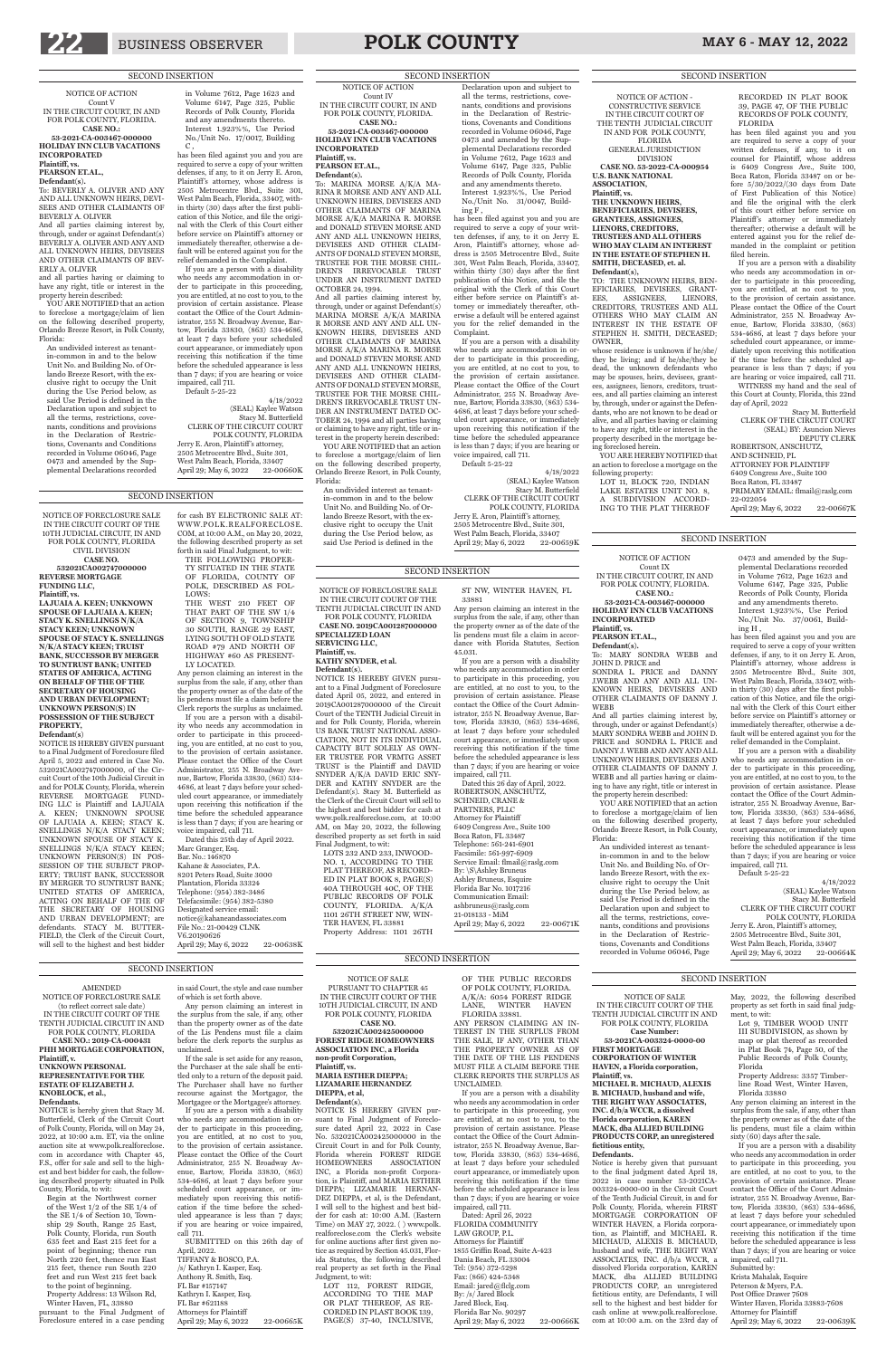

## 22 BUSINESS OBSERVER **POLK COUNTY** MAY 6 - MAY 12, 2022

### NOTICE OF ACTION

Count IV IN THE CIRCUIT COURT, IN AND FOR POLK COUNTY, FLORIDA. **CASE NO.:** 

**53-2021-CA-003467-000000 HOLIDAY INN CLUB VACATIONS INCORPORATED Plaintiff, vs.**

**PEARSON ET.AL., Defendant(s).**

To: MARINA MORSE A/K/A MA-RINA R MORSE AND ANY AND ALL UNKNOWN HEIRS, DEVISEES AND OTHER CLAIMANTS OF MARINA MORSE A/K/A MARINA R. MORSE and DONALD STEVEN MORSE AND ANY AND ALL UNKNOWN HEIRS, DEVISEES AND OTHER CLAIM-ANTS OF DONALD STEVEN MORSE, TRUSTEE FOR THE MORSE CHIL-DREN'S IRREVOCABLE TRUST UNDER AN INSTRUMENT DATED OCTOBER 24, 1994.

YOU ARE NOTIFIED that an action to foreclose a mortgage/claim of lien on the following described property, Orlando Breeze Resort, in Polk County, Florida:

And all parties claiming interest by, through, under or against Defendant(s) MARINA MORSE A/K/A MARINA R MORSE AND ANY AND ALL UN-KNOWN HEIRS, DEVISEES AND OTHER CLAIMANTS OF MARINA MORSE A/K/A MARINA R. MORSE and DONALD STEVEN MORSE AND ANY AND ALL UNKNOWN HEIRS, DEVISEES AND OTHER CLAIM-ANTS OF DONALD STEVEN MORSE, TRUSTEE FOR THE MORSE CHIL-DREN'S IRREVOCABLE TRUST UN-DER AN INSTRUMENT DATED OC-TOBER 24, 1994 and all parties having or claiming to have any right, title or interest in the property herein described:

An undivided interest as tenantin-common in and to the below Unit No. and Building No. of Orlando Breeze Resort, with the exclusive right to occupy the Unit during the Use Period below, as said Use Period is defined in the

CLERK OF THE CIRCUIT COURT POLK COUNTY, FLORIDA Jerry E. Aron, Plaintiff's attorney, 2505 Metrocentre Blvd., Suite 301, West Palm Beach, Florida, 33407<br>April 29: May 6, 2022 22-00659K April 29; May 6, 2022

### Declaration upon and subject to all the terms, restrictions, covenants, conditions and provisions in the Declaration of Restrictions, Covenants and Conditions recorded in Volume 06046, Page 0473 and amended by the Supplemental Declarations recorded in Volume 7612, Page 1623 and Volume 6147, Page 325, Public Records of Polk County, Florida and any amendments thereto. Interest 1.923%%, Use Period No./Unit No. 31/0047, Building F ,

and all parties having or claiming to have any right, title or interest in the property herein described: YOU ARE NOTIFIED that an action

has been filed against you and you are required to serve a copy of your written defenses, if any, to it on Jerry E. Aron, Plaintiff's attorney, whose address is 2505 Metrocentre Blvd., Suite 301, West Palm Beach, Florida, 33407, within thirty (30) days after the first publication of this Notice, and file the original with the Clerk of this Court either before service on Plaintiff's attorney or immediately thereafter, otherwise a default will be entered against you for the relief demanded in the Complaint.

 $\mathrm{C}$  , has been filed against you and you are required to serve a copy of your written defenses, if any, to it on Jerry E. Aron, Plaintiff 's attorney, whose address is 2505 Metrocentre Blvd., Suite 301, West Palm Beach, Florida, 33407, within thirty (30) days after the first publication of this Notice, and file the original with the Clerk of this Court either before service on Plaintiff's attorney or immediately thereafter, otherwise a default will be entered against you for the relief demanded in the Complaint.

> If you are a person with a disability who needs any accommodation in order to participate in this proceeding, you are entitled, at no cost to you, to the provision of certain assistance. Please contact the Office of the Court Administrator, 255 N. Broadway Avenue, Bartow, Florida 33830, (863) 534- 4686, at least 7 days before your scheduled court appearance, or immediately upon receiving this notification if the time before the scheduled appearance is less than 7 days; if you are hearing or voice impaired, call 711. Default 5-25-22

2505 Metrocentre Blvd., Suite 301, West Palm Beach, Florida, 33407 April 29: May 6, 2022 22-00660K

4/18/2022 (SEAL) Kaylee Watson Stacy M. Butterfield

> **PEARSON ET.AL., Defendant(s).** JOHN D. PRICE and

NOTICE OF ACTION Count V IN THE CIRCUIT COURT, IN AND FOR POLK COUNTY, FLORIDA. **CASE NO.: 53-2021-CA-003467-000000 HOLIDAY INN CLUB VACATIONS INCORPORATED**

> YOU ARE NOTIFIED that an action to foreclose a mortgage/claim of lien on the following described property,

### **Plaintiff, vs. PEARSON ET.AL.,**

**Defendant(s).** To: BEVERLY A. OLIVER AND ANY AND ALL UNKNOWN HEIRS, DEVI-SEES AND OTHER CLAIMANTS OF BEVERLY A. OLIVER

And all parties claiming interest by, through, under or against Defendant(s) BEVERLY A. OLIVER AND ANY AND ALL UNKNOWN HEIRS, DEVISEES AND OTHER CLAIMANTS OF BEV-ERLY A. OLIVER

to foreclose a mortgage/claim of lien on the following described property, Orlando Breeze Resort, in Polk County, Florida:

An undivided interest as tenantin-common in and to the below Unit No. and Building No. of Orlando Breeze Resort, with the exclusive right to occupy the Unit during the Use Period below, as said Use Period is defined in the Declaration upon and subject to all the terms, restrictions, covenants, conditions and provisions in the Declaration of Restrictions, Covenants and Conditions recorded in Volume 06046, Page 0473 and amended by the Supplemental Declarations recorded

> Default 5-25-22 4/18/2022 (SEAL) Kaylee Watson Stacy M. Butterfield CLERK OF THE CIRCUIT COURT POLK COUNTY, FLORIDA Jerry E. Aron, Plaintiff 's attorney, 2505 Metrocentre Blvd., Suite 301, West Palm Beach, Florida, 33407 April 29; May 6, 2022 22-00664K

in Volume 7612, Page 1623 and Volume 6147, Page 325, Public Records of Polk County, Florida and any amendments thereto. Interest 1.923%%, Use Period No./Unit No. 17/0017, Building

RECORDED IN PLAT BOOK 39, PAGE 47, OF THE PUBLIC RECORDS OF POLK COUNTY,

If you are a person with a disability who needs any accommodation in order to participate in this proceeding, you are entitled, at no cost to you, to the provision of certain assistance. Please contact the Office of the Court Administrator, 255 N. Broadway Avenue, Bartow, Florida 33830, (863) 534-4686, at least 7 days before your scheduled court appearance, or immediately upon receiving this notification if the time before the scheduled appearance is less than 7 days; if you are hearing or voice impaired, call 711.

### Default 5-25-22 4/18/2022 (SEAL) Kaylee Watson Stacy M. Butterfield CLERK OF THE CIRCUIT COURT POLK COUNTY, FLORIDA Jerry E. Aron, Plaintiff 's attorney,

NOTICE OF ACTION

Count IX IN THE CIRCUIT COURT, IN AND FOR POLK COUNTY, FLORIDA. **CASE NO.: 53-2021-CA-003467-000000 HOLIDAY INN CLUB VACATIONS** 

**INCORPORATED Plaintiff, vs.**

To: MARY SONDRA WEBB and

SONDRA L. PRICE and DANNY J.WEBB AND ANY AND ALL UN-KNOWN HEIRS, DEVISEES AND OTHER CLAIMANTS OF DANNY J.

WEBB

And all parties claiming interest by, through, under or against Defendant(s) MARY SONDRA WEBB and JOHN D. PRICE and SONDRA L. PRICE and DANNY J. WEBB AND ANY AND ALL UNKNOWN HEIRS, DEVISEES AND OTHER CLAIMANTS OF DANNY J. WEBB and all parties having or claiming to have any right, title or interest in

the property herein described:

Orlando Breeze Resort, in Polk County,

Florida:

An undivided interest as tenant-

in-common in and to the below Unit No. and Building No. of Orlando Breeze Resort, with the exclusive right to occupy the Unit during the Use Period below, as said Use Period is defined in the Declaration upon and subject to all the terms, restrictions, covenants, conditions and provisions in the Declaration of Restrictions, Covenants and Conditions

recorded in Volume 06046, Page

0473 and amended by the Supplemental Declarations recorded in Volume 7612, Page 1623 and Volume 6147, Page 325, Public Records of Polk County, Florida and any amendments thereto. Interest 1.923%%, Use Period No./Unit No. 37/0061, Build-

NOTICE IS HEREBY GIVEN pursuant to a Final Judgment of Foreclosure filed April 5, 2022 and entered in Case No. 532021CA002747000000, of the Circuit Court of the 10th Judicial Circuit in and for POLK County, Florida, wherein REVERSE MORTGAGE FUND-ING LLC is Plaintiff and LAJUAIA A. KEEN; UNKNOWN SPOUSE OF LAJUAIA A. KEEN; STACY K. SNELLINGS N/K/A STACY KEEN; UNKNOWN SPOUSE OF STACY K. SNELLINGS N/K/A STACY KEEN; UNKNOWN PERSON(S) IN POS-SESSION OF THE SUBJECT PROP-ERTY; TRUIST BANK, SUCCESSOR BY MERGER TO SUNTRUST BANK; UNITED STATES OF AMERICA, ACTING ON BEHALF OF THE OF THE SECRETARY OF HOUSING AND URBAN DEVELOPMENT; are defendants. STACY M. BUTTER-FIELD, the Clerk of the Circuit Court,

ing H , has been filed against you and you are required to serve a copy of your written defenses, if any, to it on Jerry E. Aron, Plaintiff 's attorney, whose address is 2505 Metrocentre Blvd., Suite 301, West Palm Beach, Florida, 33407, within thirty (30) days after the first publication of this Notice, and file the original with the Clerk of this Court either before service on Plaintiff 's attorney or immediately thereafter, otherwise a default will be entered against you for the relief demanded in the Complaint.

voice impaired, call 711. Dated this 25th day of April 2022. Marc Granger, Esq. Bar. No.: 146870 Kahane & Associates, P.A. 8201 Peters Road, Suite 3000 Plantation, Florida 33324 Telephone: (954) 382-3486 Telefacsimile: (954) 382-5380 Designated service email: notice@kahaneandassociates.com File No.: 21-00429 CLNK V6.20190626 April 29; May 6, 2022 22-00638K

If you are a person with a disability who needs any accommodation in order to participate in this proceeding, you are entitled, at no cost to you, to the provision of certain assistance. Please contact the Office of the Court Administrator, 255 N. Broadway Avenue, Bartow, Florida 33830, (863) 534-4686, at least 7 days before your scheduled court appearance, or immediately upon receiving this notification if the time before the scheduled appearance is less than 7 days; if you are hearing or voice impaired, call 711.

NOTICE OF ACTION - CONSTRUCTIVE SERVICE IN THE CIRCUIT COURT OF THE TENTH JUDICIAL CIRCUIT IN AND FOR POLK COUNTY, FLORIDA GENERAL JURISDICTION DIVISION **CASE NO. 53-2022-CA-000954**

**U.S. BANK NATIONAL ASSOCIATION, Plaintiff, vs.**

### **THE UNKNOWN HEIRS, BENEFICIARIES, DEVISEES, GRANTEES, ASSIGNEES, LIENORS, CREDITORS, TRUSTEES AND ALL OTHERS WHO MAY CLAIM AN INTEREST IN THE ESTATE OF STEPHEN H. SMITH, DECEASED, et. al. Defendant(s),**

TO: THE UNKNOWN HEIRS, BEN-EFICIARIES, DEVISEES, GRANT-EES, ASSIGNEES, LIENORS, CREDITORS, TRUSTEES AND ALL OTHERS WHO MAY CLAIM AN INTEREST IN THE ESTATE OF STEPHEN H. SMITH, DECEASED; OWNER,

whose residence is unknown if he/she/ they be living; and if he/she/they be dead, the unknown defendants who may be spouses, heirs, devisees, grantees, assignees, lienors, creditors, trustees, and all parties claiming an interest by, through, under or against the Defendants, who are not known to be dead or alive, and all parties having or claiming to have any right, title or interest in the property described in the mortgage being foreclosed herein.

YOU ARE HEREBY NOTIFIED that an action to foreclose a mortgage on the following property: LOT 11, BLOCK 720, INDIAN

LAKE ESTATES UNIT NO. 8, A SUBDIVISION ACCORD-ING TO THE PLAT THEREOF

April 29; May 6, 2022 22-00667K

NOTICE IS HEREBY GIVEN pursuant to Final Judgment of Foreclosure dated April 22, 2022 in Case No. 532021CA002425000000 in the Circuit Court in and for Polk County,<br>Florida wherein FOREST RIDGE Florida wherein FOREST RIDGE ASSOCIATION INC, a Florida non-profit Corporation, is Plaintiff, and MARIA ESTHER DIEPPA; LIZAMARIE HERNAN-DEZ DIEPPA, et al, is the Defendant, I will sell to the highest and best bidder for cash at: 10:00 A.M. (Eastern Time) on MAY 27, 2022. ( ) www.polk. realforeclose.com the Clerk's website for online auctions after first given notice as required by Section 45.031, Florida Statutes, the following described real property as set forth in the Final Judgment, to wit:

FLORIDA

has been filed against you and you are required to serve a copy of your written defenses, if any, to it on counsel for Plaintiff, whose address is 6409 Congress Ave., Suite 100, Boca Raton, Florida 33487 on or before 5/30/2022/(30 days from Date of First Publication of this Notice) and file the original with the clerk of this court either before service on Plaintiff's attorney or immediately thereafter; otherwise a default will be entered against you for the relief demanded in the complaint or petition

Dated: April 26, 2022 FLORIDA COMMUNITY LAW GROUP, P.L. Attorneys for Plaintiff 1855 Griffin Road, Suite A-423 Dania Beach, FL 33004 Tel: (954) 372-5298 Fax: (866) 424-5348 Email: jared@flclg.com By: /s/ Jared Block Jared Block, Esq. Florida Bar No. 90297 April 29; May 6, 2022 22-00666K filed herein.

If you are a person with a disability who needs any accommodation in order to participate in this proceeding, you are entitled, at no cost to you, to the provision of certain assistance. Please contact the Office of the Court Administrator, 255 N. Broadway Avenue, Bartow, Florida 33830, (863) 534-4686, at least 7 days before your scheduled court appearance, or immediately upon receiving this notification if the time before the scheduled appearance is less than 7 days; if you are hearing or voice impaired, call 711. WITNESS my hand and the seal of this Court at County, Florida, this 22nd

day of April, 2022

Stacy M. Butterfield

CLERK OF THE CIRCUIT COURT (SEAL) BY: Asuncion Nieves DEPUTY CLERK

ROBERTSON, ANSCHUTZ, AND SCHNEID, PL ATTORNEY FOR PLAINTIFF 6409 Congress Ave., Suite 100 Boca Raton, FL 33487

PRIMARY EMAIL: flmail@raslg.com

### SECOND INSERTION SECOND INSERTION SECOND INSERTION SECOND INSERTION

22-022054

Dated this 26 day of April, 2022. ROBERTSON, ANSCHUTZ, SCHNEID, CRANE & PARTNERS, PLLC Attorney for Plaintiff 6409 Congress Ave., Suite 100 Boca Raton, FL 33487 Telephone: 561-241-6901 Facsimile: 561-997-6909 Service Email: flmail@raslg.com By: \S\Ashley Bruneus Ashley Bruneus, Esquire Florida Bar No. 1017216 Communication Email: ashbruneus@raslg.com 21-018133 - MiM April 29; May 6, 2022 22-00671K

### AMENDED NOTICE OF FORECLOSURE SALE (to reflect correct sale date) IN THE CIRCUIT COURT OF THE TENTH JUDICIAL CIRCUIT IN AND FOR POLK COUNTY, FLORIDA **CASE NO.: 2019-CA-000431 PHH MORTGAGE CORPORATION, Plaintiff, v. UNKNOWN PERSONAL REPRESENTATIVE FOR THE ESTATE OF ELIZABETH J. KNOBLOCK, et al.,**

### **Defendants.**

NOTICE is hereby given that Stacy M. Butterfield, Clerk of the Circuit Court of Polk County, Florida, will on May 24, 2022, at 10:00 a.m. ET, via the online auction site at www.polk.realforeclose. com in accordance with Chapter 45, F.S., offer for sale and sell to the highest and best bidder for cash, the following described property situated in Polk County, Florida, to wit:

Begin at the Northwest corner of the West 1/2 of the SE 1/4 of the SE 1/4 of Section 10, Township 29 South, Range 25 East, Polk County, Florida, run South 635 feet and East 215 feet for a point of beginning; thence run North 220 feet, thence run East 215 feet, thence run South 220 feet and run West 215 feet back to the point of beginning. Property Address: 13 Wilson Rd, Winter Haven, FL, 33880 pursuant to the Final Judgment of

Foreclosure entered in a case pending

in said Court, the style and case number of which is set forth above.

Any person claiming an interest in the surplus from the sale, if any, other than the property owner as of the date of the Lis Pendens must file a claim before the clerk reports the surplus as unclaimed. If the sale is set aside for any reason,

the Purchaser at the sale shall be entitled only to a return of the deposit paid. The Purchaser shall have no further recourse against the Mortgagor, the Mortgagee or the Mortgagee's attorney.

If you are a person with a disability who needs any accommodation in order to participate in this proceeding, you are entitled, at no cost to you, to the provision of certain assistance. Please contact the Office of the Court Administrator, 255 N. Broadway Avenue, Bartow, Florida 33830, (863) 534-4686, at least 7 days before your scheduled court appearance, or immediately upon receiving this notification if the time before the scheduled appearance is less than 7 days; if you are hearing or voice impaired, call 711.

SUBMITTED on this 26th day of April, 2022. TIFFANY & BOSCO, P.A. /s/ Kathryn I. Kasper, Esq. Anthony R. Smith, Esq. FL Bar #157147 Kathryn I. Kasper, Esq. FL Bar #621188 Attorneys for Plaintiff April 29; May 6, 2022 22-00665K

NOTICE OF FORECLOSURE SALE IN THE CIRCUIT COURT OF THE 10TH JUDICIAL CIRCUIT, IN AND FOR POLK COUNTY, FLORIDA CIVIL DIVISION **CASE NO. 532021CA002747000000** 

**REVERSE MORTGAGE FUNDING LLC, Plaintiff, vs.** 

**LAJUAIA A. KEEN; UNKNOWN SPOUSE OF LAJUAIA A. KEEN; STACY K. SNELLINGS N/K/A STACY KEEN; UNKNOWN SPOUSE OF STACY K. SNELLINGS N/K/A STACY KEEN; TRUIST BANK, SUCCESSOR BY MERGER TO SUNTRUST BANK; UNITED STATES OF AMERICA, ACTING ON BEHALF OF THE OF THE SECRETARY OF HOUSING AND URBAN DEVELOPMENT; UNKNOWN PERSON(S) IN POSSESSION OF THE SUBJECT** 

**PROPERTY, Defendant(s)**

for cash BY ELECTRONIC SALE AT: WWW.POLK.REALFORECLOSE. COM, at 10:00 A.M., on May 20, 2022, the following described property as set forth in said Final Judgment, to wit: THE FOLLOWING PROPER-TY SITUATED IN THE STATE OF FLORIDA, COUNTY OF POLK, DESCRIBED AS FOL-LOWS: THE WEST 210 FEET OF THAT PART OF THE SW 1/4

OF SECTION 9, TOWNSHIP 30 SOUTH, RANGE 29 EAST, LYING SOUTH OF OLD STATE ROAD #79 AND NORTH OF HIGHWAY #60 AS PRESENT-LY LOCATED.

Any person claiming an interest in the surplus from the sale, if any, other than the property owner as of the date of the lis pendens must file a claim before the Clerk reports the surplus as unclaimed.

If you are a person with a disability who needs any accommodation in order to participate in this proceeding, you are entitled, at no cost to you, to the provision of certain assistance. Please contact the Office of the Court Administrator, 255 N. Broadway Avenue, Bartow, Florida 33830, (863) 534- 4686, at least 7 days before your scheduled court appearance, or immediately upon receiving this notification if the time before the scheduled appearance is less than 7 days; if you are hearing or

> NOTICE OF SALE IN THE CIRCUIT COURT OF THE TENTH JUDICIAL CIRCUIT IN AND FOR POLK COUNTY, FLORIDA

### **Case Number:**

**53-2021CA-003324-0000-00 FIRST MORTGAGE CORPORATION OF WINTER HAVEN, a Florida corporation,** 

**Plaintiff, vs. MICHAEL R. MICHAUD, ALEXIS B. MICHAUD, husband and wife, THE RIGHT WAY ASSOCIATES, INC. d/b/a WCCR, a dissolved Florida corporation, KAREN MACK, dba ALLIED BUILDING PRODUCTS CORP, an unregistered fictitious entity,** 

### **Defendants.**

Notice is hereby given that pursuant to the final judgment dated April 18, 2022 in case number 53-2021CA-003324-0000-00 in the Circuit Court of the Tenth Judicial Circuit, in and for Polk County, Florida, wherein FIRST MORTGAGE CORPORATION OF WINTER HAVEN, a Florida corporation, as Plaintiff, and MICHAEL R. MICHAUD, ALEXIS B. MICHAUD, husband and wife, THE RIGHT WAY ASSOCIATES, INC. d/b/a WCCR, a dissolved Florida corporation, KAREN MACK, dba ALLIED BUILDING PRODUCTS CORP, an unregistered fictitious entity, are Defendants, I will sell to the highest and best bidder for cash online at www.polk.realforeclose. com at 10:00 a.m. on the 23rd day of

May, 2022, the following described property as set forth in said final judgment, to wit:

Lot 9, TIMBER WOOD UNIT III SUBDIVISION, as shown by map or plat thereof as recorded in Plat Book 74, Page 50, of the Public Records of Polk County, Florida

Property Address: 3357 Timberline Road West, Winter Haven, Florida 33880

Any person claiming an interest in the surplus from the sale, if any, other than the property owner as of the date of the lis pendens, must file a claim within sixty (60) days after the sale.

If you are a person with a disability who needs any accommodation in order to participate in this proceeding, you are entitled, at no cost to you, to the provision of certain assistance. Please contact the Office of the Court Administrator, 255 N. Broadway Avenue, Bartow, Florida 33830, (863) 534-4686, at least 7 days before your scheduled court appearance, or immediately upon receiving this notification if the time before the scheduled appearance is less than 7 days; if you are hearing or voice impaired, call 711. Submitted by: Krista Mahalak, Esquire Peterson & Myers, P.A. Post Office Drawer 7608 Winter Haven, Florida 33883-7608 Attorney for Plaintiff

April 29; May 6, 2022 22-00639K

NOTICE OF SALE

PURSUANT TO CHAPTER 45 IN THE CIRCUIT COURT OF THE 10TH HIDICIAL CIRCUIT IN AND FOR POLK COUNTY, FLORIDA

**CASE NO. 532021CA002425000000 FOREST RIDGE HOMEOWNERS ASSOCIATION INC, a Florida non-profit Corporation, Plaintiff, vs. MARIA ESTHER DIEPPA; LIZAMARIE HERNANDEZ DIEPPA, et al, Defendant(s).** 

LOT 112, FOREST RIDGE, ACCORDING TO THE MAP OR PLAT THEREOF, AS RE-CORDED IN PLAST BOOK 139, PAGE(S) 37-40, INCLUSIVE,

OF THE PUBLIC RECORDS

OF POLK COUNTY, FLORIDA. A/K/A: 6054 FOREST RIDGE LANE, WINTER HAVEN FLORIDA 33881.

ANY PERSON CLAIMING AN IN-TEREST IN THE SURPLUS FROM THE SALE, IF ANY, OTHER THAN THE PROPERTY OWNER AS OF THE DATE OF THE LIS PENDENS MUST FILE A CLAIM BEFORE THE CLERK REPORTS THE SURPLUS AS UNCLAIMED.

If you are a person with a disability who needs any accommodation in order to participate in this proceeding, you are entitled, at no cost to you, to the provision of certain assistance. Please contact the Office of the Court Administrator, 255 N. Broadway Avenue, Bartow, Florida 33830, (863) 534-4686, at least 7 days before your scheduled court appearance, or immediately upon receiving this notification if the time before the scheduled appearance is less than 7 days; if you are hearing or voice impaired, call 711.

TENTH JUDICIAL CIRCUIT IN AND FOR POLK COUNTY, FLORIDA **CASE NO. 2019CA001287000000**

**SPECIALIZED LOAN** 

**SERVICING LLC, Plaintiff, vs. KATHY SNYDER, et al. Defendant(s).** NOTICE IS HEREBY GIVEN pursuant to a Final Judgment of Foreclosure dated April 05, 2022, and entered in 2019CA001287000000 of the Circuit Court of the TENTH Judicial Circuit in and for Polk County, Florida, wherein US BANK TRUST NATIONAL ASSO-CIATION, NOT IN ITS INDIVIDUAL

## CAPACITY BUT SOLELY AS OWN-

NOTICE OF FORECLOSURE SALE IN THE CIRCUIT COURT OF THE ST NW, WINTER HAVEN, FL

ER TRUSTEE FOR VRMTG ASSET TRUST is the Plaintiff and DAVID SNYDER A/K/A DAVID ERIC SNY-DER and KATHY SNYDER are the Defendant(s). Stacy M. Butterfield as the Clerk of the Circuit Court will sell to the highest and best bidder for cash at www.polk.realforeclose.com, at 10:00 AM, on May 20, 2022, the following described property as set forth in said Final Judgment, to wit:

LOTS 232 AND 233, INWOOD-NO. 1, ACCORDING TO THE PLAT THEREOF, AS RECORD-ED IN PLAT BOOK 8, PAGE(S) 40A THROUGH 40C, OF THE PUBLIC RECORDS OF POLK COUNTY, FLORIDA. A/K/A 1101 26TH STREET NW, WIN-TER HAVEN, FL 33881 Property Address: 1101 26TH

33881 Any person claiming an interest in the surplus from the sale, if any, other than the property owner as of the date of the lis pendens must file a claim in accordance with Florida Statutes, Section 45.031.

are entitled, at no cost to you, to the provision of certain assistance. Please contact the Office of the Court Administrator, 255 N. Broadway Avenue, Bartow, Florida 33830, (863) 534-4686,

If you are a person with a disability who needs any accommodation in order to participate in this proceeding, you at least 7 days before your scheduled court appearance, or immediately upon receiving this notification if the time before the scheduled appearance is less than 7 days; if you are hearing or voice impaired, call 711.

### SECOND INSERTION

### will sell to the highest and best bidder

SECOND INSERTION

SECOND INSERTION

### SECOND INSERTION

### SECOND INSERTION

SECOND INSERTION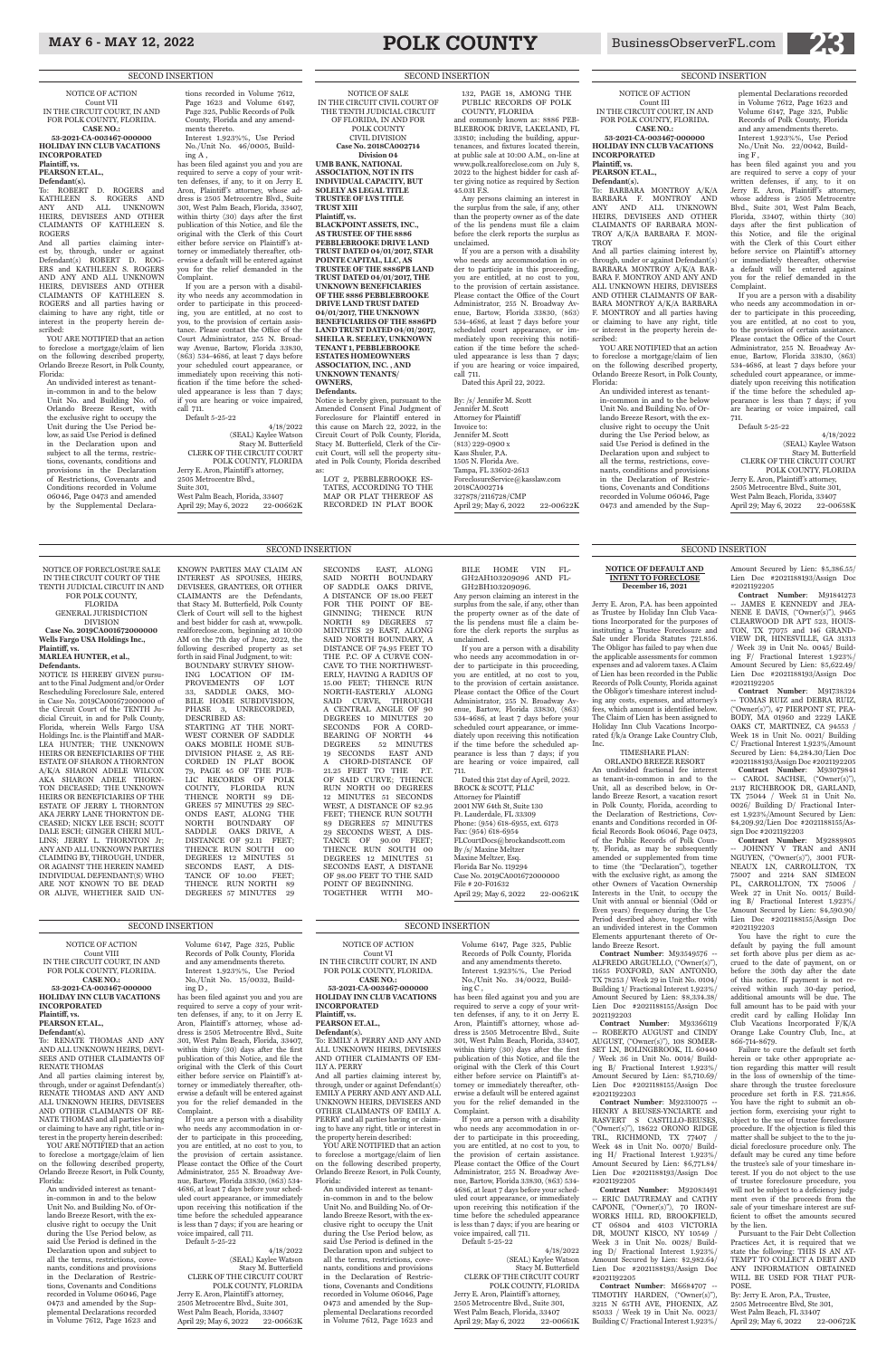## MAY 6 - MAY 12, 2022 **POLK COUNTY** BusinessObserverFL.com **23**

### NOTICE OF ACTION

Count III IN THE CIRCUIT COURT, IN AND FOR POLK COUNTY, FLORIDA. **CASE NO.:** 

To: BARBARA MONTROY A/K/A BARBARA F. MONTROY AND ANY AND ALL UNKNOWN HEIRS, DEVISEES AND OTHER CLAIMANTS OF BARBARA MON-TROY A/K/A BARBARA F. MON-**TROY** 

**53-2021-CA-003467-000000 HOLIDAY INN CLUB VACATIONS INCORPORATED Plaintiff, vs.**

### **PEARSON ET.AL., Defendant(s).**

And all parties claiming interest by, through, under or against Defendant(s) BARBARA MONTROY A/K/A BAR-BARA F. MONTROY AND ANY AND ALL UNKNOWN HEIRS, DEVISEES AND OTHER CLAIMANTS OF BAR-BARA MONTROY A/K/A BARBARA F. MONTROY and all parties having or claiming to have any right, title or interest in the property herein described:

YOU ARE NOTIFIED that an action to foreclose a mortgage/claim of lien on the following described property, Orlando Breeze Resort, in Polk County, Florida:

An undivided interest as tenantin-common in and to the below Unit No. and Building No. of Orlando Breeze Resort, with the exclusive right to occupy the Unit during the Use Period below, as said Use Period is defined in the Declaration upon and subject to all the terms, restrictions, covenants, conditions and provisions in the Declaration of Restrictions, Covenants and Conditions recorded in Volume 06046, Page 0473 and amended by the Supplemental Declarations recorded in Volume 7612, Page 1623 and Volume 6147, Page 325, Public Records of Polk County, Florida and any amendments thereto. Interest 1.923%%, Use Period

No./Unit No. 22/0042, Building F , has been filed against you and you

are required to serve a copy of your written defenses, if any, to it on Jerry E. Aron, Plaintiff's attorney, whose address is 2505 Metrocentre Blvd., Suite 301, West Palm Beach, Florida, 33407, within thirty (30) days after the first publication of this Notice, and file the original with the Clerk of this Court either before service on Plaintiff's attorney or immediately thereafter, otherwise a default will be entered against you for the relief demanded in the Complaint.

If you are a person with a disability who needs any accommodation in order to participate in this proceeding, you are entitled, at no cost to you, to the provision of certain assistance. Please contact the Office of the Court Administrator, 255 N. Broadway Avenue, Bartow, Florida 33830, (863) 534-4686, at least 7 days before your scheduled court appearance, or immediately upon receiving this notification if the time before the scheduled appearance is less than 7 days; if you are hearing or voice impaired, call 711.

Default 5-25-22

Jerry E. Aron, Plaintiff 's attorney, 2505 Metrocentre Blvd., Suite 301, West Palm Beach, Florida, 33407 April 29; May 6, 2022 22-00661K

4/18/2022 (SEAL) Kaylee Watson Stacy M. Butterfield CLERK OF THE CIRCUIT COURT POLK COUNTY, FLORIDA Jerry E. Aron, Plaintiff 's attorney, 2505 Metrocentre Blvd., Suite 301,

West Palm Beach, Florida, 33407<br>April 29: May 6, 2022 22-00658K April 29; May 6, 2022

NOTICE OF ACTION Count VI IN THE CIRCUIT COURT, IN AND FOR POLK COUNTY, FLORIDA. **CASE NO.:** 

**53-2021-CA-003467-000000 HOLIDAY INN CLUB VACATIONS INCORPORATED**

### **Plaintiff, vs. PEARSON ET.AL.,**

parties claiming interest by, through, under or against Defendant(s) ROBERT D. ROG-ERS and KATHLEEN S. ROGERS AND ANY AND ALL UNKNOWN HEIRS, DEVISEES AND OTHER CLAIMANTS OF KATHLEEN S. ROGERS and all parties having or claiming to have any right, title or interest in the property herein described:

> **Defendant(s).** To: EMILY A PERRY AND ANY AND ALL UNKNOWN HEIRS, DEVISEES AND OTHER CLAIMANTS OF EM-ILY A. PERRY

> And all parties claiming interest by, through, under or against Defendant(s) EMILY A PERRY AND ANY AND ALL UNKNOWN HEIRS, DEVISEES AND OTHER CLAIMANTS OF EMILY A. PERRY and all parties having or claiming to have any right, title or interest in the property herein described:

YOU ARE NOTIFIED that an action to foreclose a mortgage/claim of lien on the following described property, Orlando Breeze Resort, in Polk County, Florida:

An undivided interest as tenantin-common in and to the below Unit No. and Building No. of Orlando Breeze Resort, with the exclusive right to occupy the Unit during the Use Period below, as said Use Period is defined in the Declaration upon and subject to all the terms, restrictions, covenants, conditions and provisions in the Declaration of Restrictions, Covenants and Conditions recorded in Volume 06046, Page 0473 and amended by the Supplemental Declarations recorded in Volume 7612, Page 1623 and

CLERK OF THE CIRCUIT COURT POLK COUNTY, FLORIDA Jerry E. Aron, Plaintiff's attorney, 2505 Metrocentre Blvd., Suite 301, West Palm Beach, Florida, 33407 April 29; May 6, 2022 22-00662K

> Volume 6147, Page 325, Public Records of Polk County, Florida and any amendments thereto. Interest 1.923%%, Use Period No./Unit No. 34/0022, Build-

ing C , has been filed against you and you are required to serve a copy of your written defenses, if any, to it on Jerry E. Aron, Plaintiff's attorney, whose address is 2505 Metrocentre Blvd., Suite 301, West Palm Beach, Florida, 33407, within thirty (30) days after the first publication of this Notice, and file the original with the Clerk of this Court either before service on Plaintiff's attorney or immediately thereafter, otherwise a default will be entered against you for the relief demanded in the Complaint.

If you are a person with a disability who needs any accommodation in order to participate in this proceeding, you are entitled, at no cost to you, to the provision of certain assistance. Please contact the Office of the Court Administrator, 255 N. Broadway Avenue, Bartow, Florida 33830, (863) 534- 4686, at least 7 days before your scheduled court appearance, or immediately upon receiving this notification if the time before the scheduled appearance is less than 7 days; if you are hearing or voice impaired, call 711.

Default 5-25-22

4/18/2022 (SEAL) Kaylee Watson

Stacy M. Butterfield CLERK OF THE CIRCUIT COURT POLK COUNTY, FLORIDA

### 4/18/2022 (SEAL) Kaylee Watson Stacy M. Butterfield CLERK OF THE CIRCUIT COURT POLK COUNTY, FLORIDA Jerry E. Aron, Plaintiff 's attorney, 2505 Metrocentre Blvd., Suite 301, West Palm Beach, Florida, 33407 April 29; May 6, 2022 22-00663K

NOTICE OF ACTION Count VII IN THE CIRCUIT COURT, IN AND FOR POLK COUNTY, FLORIDA. **CASE NO.: 53-2021-CA-003467-000000 HOLIDAY INN CLUB VACATIONS INCORPORATED Plaintiff, vs. PEARSON ET.AL., Defendant(s).**

ROBERT D. ROGERS and KATHLEEN S. ROGERS AND ANY AND ALL UNKNOWN HEIRS, DEVISEES AND OTHER CLAIMANTS OF KATHLEEN S. ROGERS<br>And all

YOU ARE NOTIFIED that an action to foreclose a mortgage/claim of lien on the following described property, Orlando Breeze Resort, in Polk County, Florida:

An undivided interest as tenantin-common in and to the below Unit No. and Building No. of Orlando Breeze Resort, with the exclusive right to occupy the Unit during the Use Period below, as said Use Period is defined in the Declaration upon and subject to all the terms, restrictions, covenants, conditions and provisions in the Declaration of Restrictions, Covenants and Conditions recorded in Volume 06046, Page 0473 and amended by the Supplemental Declarations recorded in Volume 7612, Page 1623 and Volume 6147, Page 325, Public Records of Polk County, Florida and any amendments thereto.

Interest 1.923%%, Use Period No./Unit No. 46/0005, Building A ,

has been filed against you and you are required to serve a copy of your written defenses, if any, to it on Jerry E. Aron, Plaintiff's attorney, whose address is 2505 Metrocentre Blvd., Suite 301, West Palm Beach, Florida, 33407, within thirty (30) days after the first publication of this Notice, and file the original with the Clerk of this Court either before service on Plaintiff's attorney or immediately thereafter, otherwise a default will be entered against you for the relief demanded in the Complaint.

If you are a person with a disability who needs any accommodation in order to participate in this proceeding, you are entitled, at no cost to you, to the provision of certain assistance. Please contact the Office of the Court Administrator, 255 N. Broadway Avenue, Bartow, Florida 33830, (863) 534-4686, at least 7 days before your scheduled court appearance, or immediately upon receiving this notification if the time before the scheduled appearance is less than 7 days; if you are hearing or voice impaired, call 711. Default 5-25-22

4/18/2022

(SEAL) Kaylee Watson Stacy M. Butterfield

> By: Jerry E. Aron, P.A., Trustee, 2505 Metrocentre Blvd, Ste 301, West Palm Beach, FL 33407 April 29; May 6, 2022 22-00672K

## NOTICE OF ACTION

Count VIII IN THE CIRCUIT COURT, IN AND FOR POLK COUNTY, FLORIDA. **CASE NO.:** 

### **53-2021-CA-003467-000000 HOLIDAY INN CLUB VACATIONS INCORPORATED Plaintiff, vs. PEARSON ET.AL.,**

### **Defendant(s).** To: RENATE THOMAS AND ANY AND ALL UNKNOWN HEIRS, DEVI-SEES AND OTHER CLAIMANTS OF RENATE THOMAS

And all parties claiming interest by, through, under or against Defendant(s) RENATE THOMAS AND ANY AND ALL UNKNOWN HEIRS, DEVISEES AND OTHER CLAIMANTS OF RE-NATE THOMAS and all parties having or claiming to have any right, title or interest in the property herein described:

YOU ARE NOTIFIED that an action to foreclose a mortgage/claim of lien on the following described property, Orlando Breeze Resort, in Polk County, Florida:

An undivided interest as tenantin-common in and to the below Unit No. and Building No. of Orlando Breeze Resort, with the exclusive right to occupy the Unit during the Use Period below, as said Use Period is defined in the Declaration upon and subject to all the terms, restrictions, covenants, conditions and provisions in the Declaration of Restrictions, Covenants and Conditions recorded in Volume 06046, Page 0473 and amended by the Supplemental Declarations recorded in Volume 7612, Page 1623 and

Volume 6147, Page 325, Public Records of Polk County, Florida and any amendments thereto. Interest 1.923%%, Use Period No./Unit No. 15/0032, Build-

OF 98.00 FEET TO THE SAID POINT OF BEGINNING.<br>TOGETHER WITH MO TOGETHER WITH

ing D ,

has been filed against you and you are required to serve a copy of your written defenses, if any, to it on Jerry E. Aron, Plaintiff's attorney, whose address is 2505 Metrocentre Blvd., Suite 301, West Palm Beach, Florida, 33407, within thirty (30) days after the first publication of this Notice, and file the original with the Clerk of this Court either before service on Plaintiff's attorney or immediately thereafter, otherwise a default will be entered against you for the relief demanded in the Complaint.

Dated this 21st day of April, 2022. BROCK & SCOTT, PLLC Attorney for Plaintiff 2001 NW 64th St, Suite 130 Ft. Lauderdale, FL 33309 Phone: (954) 618-6955, ext. 6173 Fax: (954) 618-6954 FLCourtDocs@brockandscott.com By /s/ Maxine Meltzer Maxine Meltzer, Esq. Florida Bar No. 119294 Case No. 2019CA001672000000 File # 20-F01632 April 29; May 6, 2022 22-00621K

### SECOND INSERTION SECOND INSERTION

If you are a person with a disability who needs any accommodation in order to participate in this proceeding, you are entitled, at no cost to you, to the provision of certain assistance. Please contact the Office of the Court Administrator, 255 N. Broadway Avenue, Bartow, Florida 33830, (863) 534- 4686, at least 7 days before your scheduled court appearance, or immediately upon receiving this notification if the time before the scheduled appearance is less than 7 days; if you are hearing or voice impaired, call 711. Default 5-25-22

LOT 2, PEBBLEBROOKE ES-TATES, ACCORDING TO THE MAP OR PLAT THEREOF AS RECORDED IN PLAT BOOK

> **NOTICE OF DEFAULT AND INTENT TO FORECLOSE December 16, 2021** Jerry E. Aron, P.A. has been appointed as Trustee by Holiday Inn Club Vacations Incorporated for the purposes of instituting a Trustee Foreclosure and Sale under Florida Statutes 721.856. The Obligor has failed to pay when due the applicable assessments for common expenses and ad valorem taxes. A Claim of Lien has been recorded in the Public Records of Polk County, Florida against the Obligor's timeshare interest including any costs, expenses, and attorney's fees, which amount is identified below. The Claim of Lien has been assigned to Holiday Inn Club Vacations Incorporated f/k/a Orange Lake Country Club,

Inc.

TIMESHARE PLAN: ORLANDO BREEZE RESORT An undivided fractional fee interest as tenant-in-common in and to the Unit, all as described below, in Orlando Breeze Resort, a vacation resort in Polk County, Florida, according to the Declaration of Restrictions, Covenants and Conditions recorded in Official Records Book 06046, Page 0473, of the Public Records of Polk County, Florida, as may be subsequently amended or supplemented from time to time (the "Declaration"), together with the exclusive right, as among the other Owners of Vacation Ownership Interests in the Unit, to occupy the Unit with annual or biennial (Odd or Even years) frequency during the Use Period desribed above, together with an undivided interest in the Common Elements appurtenant thereto of Or-

lando Breeze Resort.

**Contract Number**: M93549576 -- ALFREDO ARGUELLO, ("Owner(s)"), 11655 FOXFORD, SAN ANTONIO, TX 78253 / Week 29 in Unit No. 0104/

Building 1/ Fractional Interest 1.923%/ Amount Secured by Lien: \$8,334.38/ Lien Doc #2021188155/Assign Doc 2021192203

**Contract Number**: M93366119 ROBERTO AUGUST and CINDY AUGUST, ("Owner(s)"), 108 SOMER-SET LN, BOLINGBROOK, IL 60440 / Week 36 in Unit No. 0014/ Building B/ Fractional Interest 1.923%/ Amount Secured by Lien: \$5,710.69/ Lien Doc #2021188155/Assign Doc #2021192203

**Contract Number**: M92310075 -- HENRY A BEUSES-YNCIARTE and RASVERT S CASTILLO-BEUSES, ("Owner(s)"), 18622 ORONO RIDGE TRL, RICHMOND, TX 77407 Week 48 in Unit No. 0070/ Building H/ Fractional Interest 1.923%/ Amount Secured by Lien: \$6,771.84/ Lien Doc #2021188193/Assign Doc #2021192205

**Contract Number**: M92083491 -- ERIC DAUTREMAY and CATHY CAPONE, ("Owner(s)"), 70 IRON-WORKS HILL RD, BROOKFIELD, CT 06804 and 4103 VICTORIA DR, MOUNT KISCO, NY 10549 Week 3 in Unit No. 0028/ Building D/ Fractional Interest 1.923%/ Amount Secured by Lien: \$2,982.64/ Lien Doc #2021188193/Assign Doc #2021192205

**Contract Number**: M6684707 -- TIMOTHY HARDEN, ("Owner(s)"), 3215 N 65TH AVE, PHOENIX, AZ 85033 / Week 19 in Unit No. 0023/ Building C/ Fractional Interest 1.923%/

Amount Secured by Lien: \$5,386.55/ Lien Doc #2021188193/Assign Doc #2021192205

**Contract Number**: M91841273 JAMES E KENNEDY and JEA-NENE E DAVIS, ("Owner(s)"), 9465 CLEARWOOD DR APT 523, HOUS-TON, TX 77075 and 146 GRAND-VIEW DR, HINESVILLE, GA 31313 / Week 39 in Unit No. 0045/ Building F/ Fractional Interest 1.923%/ Amount Secured by Lien: \$5,622.49/ Lien Doc #2021188193/Assign Doc #2021192205

**Contract Number**: M91738324 -- TOMAS RUIZ and DEBRA RUIZ, ("Owner(s)"), 47 PIERPONT ST, PEA-BODY, MA 01960 and 2229 LAKE OAKS CT, MARTINEZ, CA 94553 / Week 18 in Unit No. 0021/ Building C/ Fractional Interest 1.923%/Amount Secured by Lien: \$4,284.30/Lien Doc #2021188193/Assign Doc #2021192205

**Contract Number**: M93079841 -- CAROL SACHSE, ("Owner(s)"), 2137 RICHBROOK DR, GARLAND, TX 75044 / Week 51 in Unit No. 0026/ Building D/ Fractional Interest 1.923%/Amount Secured by Lien: \$4,209.92/Lien Doc #2021188155/Assign Doc #2021192203

**Contract Number**: M92889805  $\,$  JOHNNY  $\,$  V  $\,$  TRAN  $\,$  and  $\,$  ANH  $\,$ NGUYEN, ("Owner(s)"), 3001 FUR-NEAUX LN, CARROLLTON, TX 75007 and 2214 SAN SIMEON PL, CARROLLTON, TX 75006 / Week 27 in Unit No. 0015/ Building B/ Fractional Interest 1.923%/ Amount Secured by Lien: \$4,590.90/ Lien Doc #2021188155/Assign Doc #2021192203

You have the right to cure the default by paying the full amount set forth above plus per diem as accrued to the date of payment, on or before the 30th day after the date of this notice. If payment is not received within such 30-day period, additional amounts will be due. The full amount has to be paid with your credit card by calling Holiday Inn Club Vacations Incorporated F/K/A Orange Lake Country Club, Inc., at 866-714-8679. Failure to cure the default set forth herein or take other appropriate action regarding this matter will result in the loss of ownership of the timeshare through the trustee foreclosure procedure set forth in F.S. 721.856. You have the right to submit an objection form, exercising your right to object to the use of trustee foreclosure procedure. If the objection is filed this matter shall be subject to the to the judicial foreclosure procedure only. The default may be cured any time before the trustee's sale of your timeshare interest. If you do not object to the use of trustee foreclosure procedure, you will not be subject to a deficiency judgment even if the proceeds from the sale of your timeshare interest are sufficient to offset the amounts secured by the lien. Pursuant to the Fair Debt Collection Practices Act, it is required that we state the following: THIS IS AN AT-TEMPT TO COLLECT A DEBT AND ANY INFORMATION OBTAINED WILL BE USED FOR THAT PUR-POSE.

FOR POLK COUNTY, FLORIDA

DIVISION

**Wells Fargo USA Holdings Inc.,**

**Plaintiff, vs.**

**MARLEA HUNTER, et al.,**

**Defendants.**

NOTICE OF FORECLOSURE SALE IN THE CIRCUIT COURT OF THE TENTH JUDICIAL CIRCUIT IN AND GENERAL JURISDICTION **Case No. 2019CA001672000000** NOTICE IS HEREBY GIVEN pursuant to the Final Judgment and/or Order Rescheduling Foreclosure Sale, entered in Case No. 2019CA001672000000 of the Circuit Court of the TENTH Judicial Circuit, in and for Polk County, Florida, wherein Wells Fargo USA Holdings Inc. is the Plaintiff and MAR-LEA HUNTER; THE UNKNOWN HEIRS OR BENEFICIARIES OF THE ESTATE OF SHARON A THORNTON A/K/A SHARON ADELE WILCOX AKA SHARON ADELE THORN-TON DECEASED; THE UNKNOWN HEIRS OR BENEFICIARIES OF THE ESTATE OF JERRY L THORNTON AKA JERRY LANE THORNTON DE-CEASED; NICKY LEE ESCH; SCOTT DALE ESCH; GINGER CHERI MUL-LINS; JERRY L. THORNTON Jr; ANY AND ALL UNKNOWN PARTIES CLAIMING BY, THROUGH, UNDER, OR AGAINST THE HEREIN NAMED INDIVIDUAL DEFENDANT(S) WHO ARE NOT KNOWN TO BE DEAD OR ALIVE, WHETHER SAID UN-KNOWN PARTIES MAY CLAIM AN INTEREST AS SPOUSES, HEIRS DEVISEES, GRANTEES, OR OTHER CLAIMANTS are the Defendants, that Stacy M. Butterfield, Polk County Clerk of Court will sell to the highest and best bidder for cash at, www.polk. realforeclose.com, beginning at 10:00 AM on the 7th day of June, 2022, the following described property as set forth in said Final Judgment, to wit: BOUNDARY SURVEY SHOW-ING LOCATION OF IM-PROVEMENTS OF LOT 33, SADDLE OAKS, MO-BILE HOME SUBDIVISION, PHASE 3, UNRECORDED, DESCRIBED AS: STARTING AT THE NORT-WEST CORNER OF SADDLE OAKS MOBILE HOME SUB-DIVISION PHASE 2, AS RE-CORDED IN PLAT BOOK 79, PAGE 45 OF THE PUB-LIC RECORDS OF POLK COUNTY, FLORIDA RUN THENCE NORTH 89 DE-GREES 57 MINUTES 29 SEC-ONDS EAST, ALONG THE NORTH BOUNDARY OF SADDLE OAKS DRIVE, A DISTANCE OF 92.11 FEET; THENCE RUN SOUTH 00 DEGREES 12 MINUTES 51 SECONDS EAST, A DIS-TANCE OF 10.00 FEET; THENCE RUN NORTH 89 DEGREES 57 MINUTES 29

SECONDS EAST, ALONG

52 MINUTES

### SECOND INSERTION SECOND INSERTION

SAID NORTH BOUNDARY OF SADDLE OAKS DRIVE, A DISTANCE OF 18.00 FEET FOR THE POINT OF BE-GINNING; THENCE RUN NORTH 89 DEGREES 57 MINUTES 29 EAST, ALONG SAID NORTH BOUNDARY, A DISTANCE OF 74.95 FEET TO THE P.C. OF A CURVE CON-CAVE TO THE NORTHWEST-ERLY, HAVING A RADIUS OF 15.00 FEET; THENCE RUN NORTH-EASTERLY ALONG SAID CURVE, THROUGH A CENTRAL ANGLE OF 90 DEGREES 10 MINUTES 20 SECONDS FOR A CORD-BEARING OF NORTH 44<br>DEGREES 52 MINUTES 19 SECONDS EAST AND A CHORD-DISTANCE OF 21.25 FEET TO THE P.T. OF SAID CURVE; THENCE RUN NORTH 00 DEGREES 12 MINUTES 51 SECONDS WEST, A DISTANCE OF 82.95 FEET; THENCE RUN SOUTH 89 DEGREES 57 MINUTES 29 SECONDS WEST, A DIS-TANCE OF 90.00 FEET; THENCE RUN SOUTH 00 DEGREES 12 MINUTES 51 SECONDS EAST, A DISTANE

BILE HOME VIN FL-GH2AH103209096 AND FL-GH2BH103209096.

Any person claiming an interest in the surplus from the sale, if any, other than the property owner as of the date of the lis pendens must file a claim before the clerk reports the surplus as unclaimed.

April 29; May 6, 2022 22-00622K

If you are a person with a disability who needs any accommodation in order to participate in this proceeding, you are entitled, at no cost to you, to the provision of certain assistance. Please contact the Office of the Court Administrator, 255 N. Broadway Avenue, Bartow, Florida 33830, (863) 534-4686, at least 7 days before your scheduled court appearance, or immediately upon receiving this notification if the time before the scheduled appearance is less than 7 days; if you are hearing or voice impaired, call 711.

NOTICE OF SALE

### IN THE CIRCUIT CIVIL COURT OF THE TENTH JUDICIAL CIRCUIT OF FLORIDA, IN AND FOR POLK COUNTY CIVIL DIVISION **Case No. 2018CA002714 Division 04 UMB BANK, NATIONAL ASSOCIATION, NOT IN ITS INDIVIDUAL CAPACITY, BUT SOLELY AS LEGAL TITLE TRUSTEE OF LVS TITLE TRUST XIII Plaintiff, vs. BLACKPOINT ASSETS, INC., AS TRUSTEE OF THE 8886 PEBBLEBROOKE DRIVE LAND TRUST DATED 04/01/2017, STAR POINTE CAPITAL, LLC, AS TRUSTEE OF THE 8886PB LAND TRUST DATED 04/01/2017, THE UNKNOWN BENEFICIARIES OF THE 8886 PEBBLEBROOKE DRIVE LAND TRUST DATED 04/01/2017, THE UNKNOWN BENEFICIARIES OF THE 8886PD LAND TRUST DATED 04/01/2017, SHEILA R. SEELEY, UNKNOWN TENANT 1, PEBBLEBROOKE ESTATES HOMEOWNERS ASSOCIATION, INC. , AND**

**UNKNOWN TENANTS/**

**OWNERS, Defendants.** Notice is hereby given, pursuant to the Amended Consent Final Judgment of Foreclosure for Plaintiff entered in this cause on March 22, 2022, in the Circuit Court of Polk County, Florida, Stacy M. Butterfield, Clerk of the Circuit Court, will sell the property situated in Polk County, Florida described as:

132, PAGE 18, AMONG THE PUBLIC RECORDS OF POLK COUNTY, FLORIDA and commonly known as: 8886 PEB-BLEBROOK DRIVE, LAKELAND, FL 33810; including the building, appurtenances, and fixtures located therein, at public sale at 10:00 A.M., on-line at www.polk.realforeclose.com on July 8, 2022 to the highest bidder for cash after giving notice as required by Section

45.031 F.S.

Any persons claiming an interest in the surplus from the sale, if any, other than the property owner as of the date of the lis pendens must file a claim before the clerk reports the surplus as

unclaimed.

If you are a person with a disability who needs any accommodation in order to participate in this proceeding, you are entitled, at no cost to you, to the provision of certain assistance. Please contact the Office of the Court Administrator, 255 N. Broadway Avenue, Bartow, Florida 33830, (863) 534-4686, at least 7 days before your scheduled court appearance, or immediately upon receiving this notification if the time before the scheduled appearance is less than 7 days; if you are hearing or voice impaired,

### SECOND INSERTION SECOND INSERTION SECOND INSERTION SECOND INSERTION SECOND INSERTION

call 711.

Dated this April 22, 2022. By: /s/ Jennifer M. Scott Jennifer M. Scott Attorney for Plaintiff Invoice to: Jennifer M. Scott (813) 229-0900 x Kass Shuler, P.A. 1505 N. Florida Ave. Tampa, FL 33602-2613 ForeclosureService@kasslaw.com

2018CA002714 327878/2116728/CMP